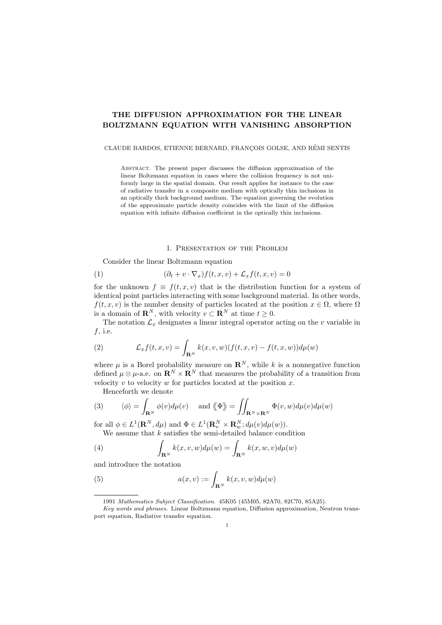# THE DIFFUSION APPROXIMATION FOR THE LINEAR BOLTZMANN EQUATION WITH VANISHING ABSORPTION

# CLAUDE BARDOS, ETIENNE BERNARD, FRANÇOIS GOLSE, AND RÉMI SENTIS

ABSTRACT. The present paper discusses the diffusion approximation of the linear Boltzmann equation in cases where the collision frequency is not uniformly large in the spatial domain. Our result applies for instance to the case of radiative transfer in a composite medium with optically thin inclusions in an optically thick background medium. The equation governing the evolution of the approximate particle density coincides with the limit of the diffusion equation with infinite diffusion coefficient in the optically thin inclusions.

#### 1. Presentation of the Problem

Consider the linear Boltzmann equation

(1) 
$$
(\partial_t + v \cdot \nabla_x) f(t, x, v) + \mathcal{L}_x f(t, x, v) = 0
$$

for the unknown  $f \equiv f(t, x, v)$  that is the distribution function for a system of identical point particles interacting with some background material. In other words,  $f(t, x, v)$  is the number density of particles located at the position  $x \in \Omega$ , where  $\Omega$ is a domain of  $\mathbb{R}^N$ , with velocity  $v \subset \mathbb{R}^N$  at time  $t \geq 0$ .

The notation  $\mathcal{L}_x$  designates a linear integral operator acting on the *v* variable in *f*, i.e.

(2) 
$$
\mathcal{L}_x f(t,x,v) = \int_{\mathbf{R}^N} k(x,v,w)(f(t,x,v) - f(t,x,w))d\mu(w)
$$

where  $\mu$  is a Borel probability measure on  $\mathbb{R}^N$ , while k is a nonnegative function defined  $\mu \otimes \mu$ -a.e. on  $\mathbf{R}^N \times \mathbf{R}^N$  that measures the probability of a transition from velocity *v* to velocity *w* for particles located at the position *x*.

Henceforth we denote

(3) 
$$
\langle \phi \rangle = \int_{\mathbf{R}^N} \phi(v) d\mu(v)
$$
 and  $\langle \Phi \rangle = \iint_{\mathbf{R}^N \times \mathbf{R}^N} \Phi(v, w) d\mu(v) d\mu(w)$ 

for all  $\phi \in L^1(\mathbf{R}^N, d\mu)$  and  $\Phi \in L^1(\mathbf{R}^N_v \times \mathbf{R}^N_w; d\mu(v)d\mu(w)).$ We assume that *k* satisfies the semi-detailed balance condition

(4) 
$$
\int_{\mathbf{R}^N} k(x, v, w) d\mu(w) = \int_{\mathbf{R}^N} k(x, w, v) d\mu(w)
$$

and introduce the notation

(5) 
$$
a(x,v) := \int_{\mathbf{R}^N} k(x,v,w) d\mu(w)
$$

<sup>1991</sup> *Mathematics Subject Classification.* 45K05 (45M05, 82A70, 82C70, 85A25).

*Key words and phrases.* Linear Boltzmann equation, Diffusion approximation, Neutron transport equation, Radiative transfer equation.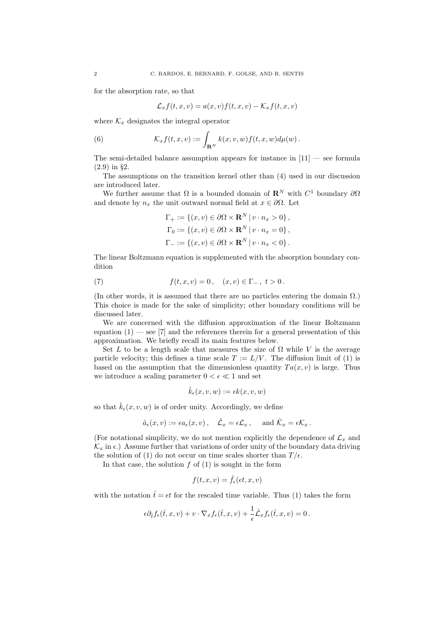for the absorption rate, so that

$$
\mathcal{L}_x f(t, x, v) = a(x, v) f(t, x, v) - \mathcal{K}_x f(t, x, v)
$$

where  $\mathcal{K}_x$  designates the integral operator

(6) 
$$
\mathcal{K}_x f(t,x,v) := \int_{\mathbf{R}^N} k(x,v,w) f(t,x,w) d\mu(w).
$$

The semi-detailed balance assumption appears for instance in  $[11]$  — see formula (2.9) in §2.

The assumptions on the transition kernel other than (4) used in our discussion are introduced later.

We further assume that  $\Omega$  is a bounded domain of  $\mathbb{R}^N$  with  $C^1$  boundary  $\partial\Omega$ and denote by  $n_x$  the unit outward normal field at  $x \in \partial \Omega$ . Let

$$
\Gamma_+ := \{ (x, v) \in \partial \Omega \times \mathbf{R}^N \mid v \cdot n_x > 0 \},
$$
  
\n
$$
\Gamma_0 := \{ (x, v) \in \partial \Omega \times \mathbf{R}^N \mid v \cdot n_x = 0 \},
$$
  
\n
$$
\Gamma_- := \{ (x, v) \in \partial \Omega \times \mathbf{R}^N \mid v \cdot n_x < 0 \}.
$$

The linear Boltzmann equation is supplemented with the absorption boundary condition

(7)  $f(t, x, v) = 0, \quad (x, v) \in \Gamma_-, t > 0.$ 

(In other words, it is assumed that there are no particles entering the domain  $\Omega$ .) This choice is made for the sake of simplicity; other boundary conditions will be discussed later.

We are concerned with the diffusion approximation of the linear Boltzmann equation  $(1)$  — see [7] and the references therein for a general presentation of this approximation. We briefly recall its main features below.

Set L to be a length scale that measures the size of  $\Omega$  while V is the average particle velocity; this defines a time scale  $T := L/V$ . The diffusion limit of (1) is based on the assumption that the dimensionless quantity  $Ta(x, v)$  is large. Thus we introduce a scaling parameter  $0 < \epsilon \ll 1$  and set

$$
\hat{k}_{\epsilon}(x,v,w):=\epsilon k(x,v,w)
$$

so that  $\hat{k}_{\epsilon}(x, v, w)$  is of order unity. Accordingly, we define

$$
\hat{a}_{\epsilon}(x, v) := \epsilon a_{\epsilon}(x, v), \quad \hat{\mathcal{L}}_x = \epsilon \mathcal{L}_x, \text{ and } \hat{\mathcal{K}}_x = \epsilon \mathcal{K}_x.
$$

(For notational simplicity, we do not mention explicitly the dependence of  $\mathcal{L}_x$  and  $\mathcal{K}_x$  in  $\epsilon$ .) Assume further that variations of order unity of the boundary data driving the solution of (1) do not occur on time scales shorter than  $T/\epsilon$ .

In that case, the solution  $f$  of  $(1)$  is sought in the form

$$
f(t, x, v) = \hat{f}_{\epsilon}(\epsilon t, x, v)
$$

with the notation  $\hat{t} = \epsilon t$  for the rescaled time variable. Thus (1) takes the form

$$
\epsilon \partial_{\hat{t}} f_{\epsilon}(\hat{t},x,v) + v \cdot \nabla_x f_{\epsilon}(\hat{t},x,v) + \frac{1}{\epsilon} \hat{\mathcal{L}}_x f_{\epsilon}(\hat{t},x,v) = 0.
$$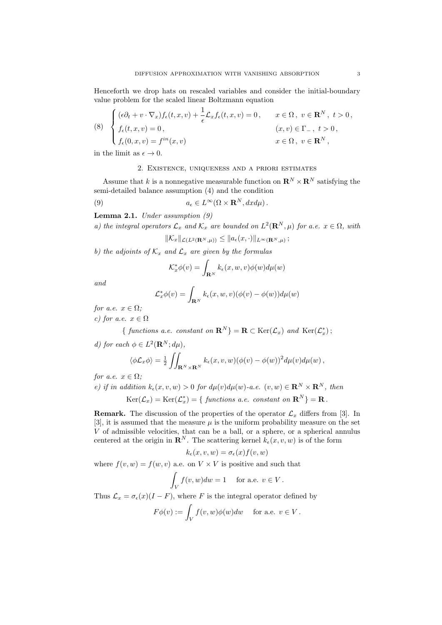Henceforth we drop hats on rescaled variables and consider the initial-boundary value problem for the scaled linear Boltzmann equation

(8) 
$$
\begin{cases} (\epsilon \partial_t + v \cdot \nabla_x) f_{\epsilon}(t, x, v) + \frac{1}{\epsilon} \mathcal{L}_x f_{\epsilon}(t, x, v) = 0, & x \in \Omega, v \in \mathbb{R}^N, t > 0, \\ f_{\epsilon}(t, x, v) = 0, & (x, v) \in \Gamma_-, t > 0, \\ f_{\epsilon}(0, x, v) = f^{in}(x, v) & x \in \Omega, v \in \mathbb{R}^N, \end{cases}
$$

in the limit as  $\epsilon \to 0$ .

# 2. Existence, uniqueness and a priori estimates

Assume that  $k$  is a nonnegative measurable function on  $\mathbf{R}^N\times\mathbf{R}^N$  satisfying the semi-detailed balance assumption (4) and the condition

(9) 
$$
a_{\epsilon} \in L^{\infty}(\Omega \times \mathbf{R}^{N}, dxd\mu).
$$

Lemma 2.1. *Under assumption (9)*

*a) the integral operators*  $\mathcal{L}_x$  *and*  $\mathcal{K}_x$  *are bounded on*  $L^2(\mathbf{R}^N, \mu)$  *for a.e.*  $x \in \Omega$ *, with* 

$$
\|\mathcal{K}_x\|_{\mathcal{L}(L^2(\mathbf{R}^N,\mu))} \leq \|a_{\epsilon}(x,\cdot)\|_{L^{\infty}(\mathbf{R}^N,\mu)}\,;
$$

*b)* the adjoints of  $K_x$  and  $\mathcal{L}_x$  are given by the formulas

$$
\mathcal{K}_x^* \phi(v) = \int_{\mathbf{R}^N} k_\epsilon(x, w, v) \phi(w) d\mu(w)
$$

*and*

$$
\mathcal{L}_x^* \phi(v) = \int_{\mathbf{R}^N} k_{\epsilon}(x, w, v) (\phi(v) - \phi(w)) d\mu(w)
$$

*for a.e.*  $x \in \Omega$ *;* 

*c)* for a.e.  $x \in \Omega$ 

{ *functions a.e. constant on*  $\mathbf{R}^{N}$ } =  $\mathbf{R} \subset \text{Ker}(\mathcal{L}_x)$  *and*  $\text{Ker}(\mathcal{L}_x^*)$ ;

*d)* for each  $\phi \in L^2(\mathbf{R}^N; d\mu)$ ,

$$
\langle \phi \mathcal{L}_x \phi \rangle = \frac{1}{2} \iint_{\mathbf{R}^N \times \mathbf{R}^N} k_{\epsilon}(x, v, w) (\phi(v) - \phi(w))^2 d\mu(v) d\mu(w),
$$

*for a.e.*  $x \in \Omega$ *;* 

e) if in addition 
$$
k_{\epsilon}(x, v, w) > 0
$$
 for  $d\mu(v)d\mu(w)$ -a.e.  $(v, w) \in \mathbb{R}^{N} \times \mathbb{R}^{N}$ , then  

$$
\text{Ker}(\mathcal{L}_{x}) = \text{Ker}(\mathcal{L}_{x}^{*}) = \{ \text{ functions a.e. constant on } \mathbb{R}^{N} \} = \mathbb{R}.
$$

**Remark.** The discussion of the properties of the operator  $\mathcal{L}_x$  differs from [3]. In [3], it is assumed that the measure  $\mu$  is the uniform probability measure on the set *V* of admissible velocities, that can be a ball, or a sphere, or a spherical annulus centered at the origin in  $\mathbb{R}^N$ . The scattering kernel  $k_{\epsilon}(x, v, w)$  is of the form

$$
k_{\epsilon}(x,v,w) = \sigma_{\epsilon}(x) f(v,w)
$$

where  $f(v, w) = f(w, v)$  a.e. on  $V \times V$  is positive and such that

$$
\int_V f(v, w) dw = 1 \quad \text{ for a.e. } v \in V.
$$

Thus  $\mathcal{L}_x = \sigma_\epsilon(x) (I - F)$ , where *F* is the integral operator defined by

$$
F\phi(v) := \int_V f(v, w)\phi(w)dw \quad \text{ for a.e. } v \in V.
$$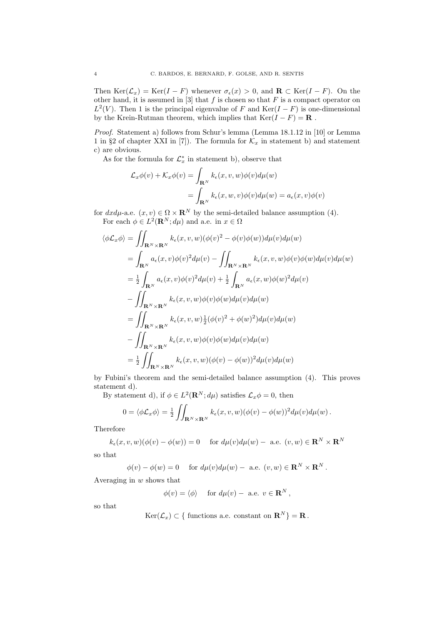Then  $\text{Ker}(\mathcal{L}_x) = \text{Ker}(I - F)$  whenever  $\sigma_{\epsilon}(x) > 0$ , and  $\mathbf{R} \subset \text{Ker}(I - F)$ . On the other hand, it is assumed in  $[3]$  that  $f$  is chosen so that  $F$  is a compact operator on  $L^2(V)$ . Then 1 is the principal eigenvalue of *F* and Ker(*I – F*) is one-dimensional by the Krein-Rutman theorem, which implies that  $\text{Ker}(I - F) = \mathbf{R}$ .

*Proof.* Statement a) follows from Schur's lemma (Lemma 18.1.12 in [10] or Lemma 1 in §2 of chapter XXI in [7]). The formula for  $\mathcal{K}_x$  in statement b) and statement c) are obvious.

As for the formula for  $\mathcal{L}_x^*$  in statement b), observe that

$$
\mathcal{L}_x \phi(v) + \mathcal{K}_x \phi(v) = \int_{\mathbf{R}^N} k_{\epsilon}(x, v, w) \phi(v) d\mu(w)
$$
  
= 
$$
\int_{\mathbf{R}^N} k_{\epsilon}(x, w, v) \phi(v) d\mu(w) = a_{\epsilon}(x, v) \phi(v)
$$

for  $dx d\mu$ -a.e.  $(x, v) \in \Omega \times \mathbf{R}^N$  by the semi-detailed balance assumption (4). For each  $\phi \in L^2(\mathbf{R}^N; d\mu)$  and a.e. in  $x \in \Omega$ 

$$
\langle \phi \mathcal{L}_x \phi \rangle = \iint_{\mathbf{R}^N \times \mathbf{R}^N} k_{\epsilon}(x, v, w) (\phi(v)^2 - \phi(v)\phi(w)) d\mu(v) d\mu(w)
$$
  
\n
$$
= \int_{\mathbf{R}^N} a_{\epsilon}(x, v) \phi(v)^2 d\mu(v) - \iint_{\mathbf{R}^N \times \mathbf{R}^N} k_{\epsilon}(x, v, w) \phi(v) \phi(w) d\mu(v) d\mu(w)
$$
  
\n
$$
= \frac{1}{2} \int_{\mathbf{R}^N} a_{\epsilon}(x, v) \phi(v)^2 d\mu(v) + \frac{1}{2} \int_{\mathbf{R}^N} a_{\epsilon}(x, w) \phi(w)^2 d\mu(v)
$$
  
\n
$$
- \iint_{\mathbf{R}^N \times \mathbf{R}^N} k_{\epsilon}(x, v, w) \phi(v) \phi(w) d\mu(v) d\mu(w)
$$
  
\n
$$
= \iint_{\mathbf{R}^N \times \mathbf{R}^N} k_{\epsilon}(x, v, w) \frac{1}{2} (\phi(v)^2 + \phi(w)^2) d\mu(v) d\mu(w)
$$
  
\n
$$
- \iint_{\mathbf{R}^N \times \mathbf{R}^N} k_{\epsilon}(x, v, w) \phi(v) \phi(w) d\mu(v) d\mu(w)
$$
  
\n
$$
= \frac{1}{2} \iint_{\mathbf{R}^N \times \mathbf{R}^N} k_{\epsilon}(x, v, w) (\phi(v) - \phi(w))^2 d\mu(v) d\mu(w)
$$

by Fubini's theorem and the semi-detailed balance assumption (4). This proves statement d).

By statement d), if  $\phi \in L^2(\mathbf{R}^N; d\mu)$  satisfies  $\mathcal{L}_x \phi = 0$ , then

$$
0 = \langle \phi \mathcal{L}_x \phi \rangle = \frac{1}{2} \iint_{\mathbf{R}^N \times \mathbf{R}^N} k_{\epsilon}(x, v, w) (\phi(v) - \phi(w))^2 d\mu(v) d\mu(w).
$$

**Therefore** 

$$
k_{\epsilon}(x, v, w)(\phi(v) - \phi(w)) = 0 \quad \text{for } d\mu(v)d\mu(w) - \text{ a.e. } (v, w) \in \mathbf{R}^{N} \times \mathbf{R}^{N}
$$

so that

$$
\phi(v) - \phi(w) = 0 \quad \text{ for } d\mu(v)d\mu(w) - \text{ a.e. } (v, w) \in \mathbf{R}^N \times \mathbf{R}^N.
$$

Averaging in *w* shows that

 $\phi(v) = \langle \phi \rangle$  for  $d\mu(v) -$  a.e.  $v \in \mathbb{R}^N$ ,

so that

$$
\text{Ker}(\mathcal{L}_x) \subset \{ \text{ functions a.e. constant on } \mathbf{R}^N \} = \mathbf{R}.
$$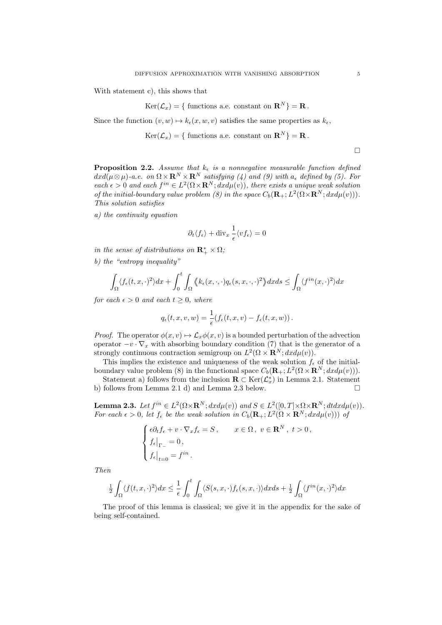With statement c), this shows that

$$
\text{Ker}(\mathcal{L}_x) = \{ \text{ functions a.e. constant on } \mathbf{R}^N \} = \mathbf{R}.
$$

Since the function  $(v, w) \mapsto k_{\epsilon}(x, w, v)$  satisfies the same properties as  $k_{\epsilon}$ ,

 $Ker(\mathcal{L}_x) = \{$  functions a.e. constant on  $\mathbb{R}^N\} = \mathbb{R}$ .

 $\Box$ 

**Proposition 2.2.** *Assume that*  $k_{\epsilon}$  *is a nonnegative measurable function defined*  $dx d(\mu \otimes \mu)$ -a.e. on  $\Omega \times \mathbf{R}^N \times \mathbf{R}^N$  *satisfying (4) and (9) with*  $a_{\epsilon}$  *defined by (5). For*  $each \epsilon > 0$  *and each*  $f^{in} \in L^2(\Omega \times \mathbf{R}^N; dx d\mu(v))$ , there exists a unique weak solution *of the initial-boundary value problem (8) in the space*  $C_b(\mathbf{R}_+; L^2(\Omega \times \mathbf{R}^N; dx d\mu(v)))$ . *This solution satisfies*

*a) the continuity equation*

$$
\partial_t \langle f_\epsilon \rangle + \text{div}_x \, \frac{1}{\epsilon} \langle v f_\epsilon \rangle = 0
$$

*in the sense of distributions on*  $\mathbb{R}^*_+ \times \Omega$ ;

*b) the "entropy inequality"*

$$
\int_{\Omega} \langle f_{\epsilon}(t,x,\cdot)^{2} \rangle dx + \int_{0}^{t} \int_{\Omega} \langle k_{\epsilon}(x,\cdot,\cdot) q_{\epsilon}(s,x,\cdot,\cdot)^{2} \rangle dx ds \leq \int_{\Omega} \langle f^{in}(x,\cdot)^{2} \rangle dx
$$

*for each*  $\epsilon > 0$  *and each*  $t \geq 0$ *, where* 

$$
q_{\epsilon}(t,x,v,w) = \frac{1}{\epsilon}(f_{\epsilon}(t,x,v) - f_{\epsilon}(t,x,w)).
$$

*Proof.* The operator  $\phi(x, v) \mapsto \mathcal{L}_x \phi(x, v)$  is a bounded perturbation of the advection operator  $-v \cdot \nabla_x$  with absorbing boundary condition (7) that is the generator of a strongly continuous contraction semigroup on  $L^2(\Omega \times \mathbf{R}^N; dx d\mu(v))$ .

This implies the existence and uniqueness of the weak solution  $f_{\epsilon}$  of the initialboundary value problem (8) in the functional space  $C_b(\mathbf{R}_+; L^2(\Omega \times \mathbf{R}^N; dx d\mu(v)))$ .

Statement a) follows from the inclusion  $\mathbf{R} \subset \text{Ker}(\mathcal{L}^*_x)$  in Lemma 2.1. Statement b) follows from Lemma 2.1 d) and Lemma 2.3 below.  $\Box$ 

**Lemma 2.3.** Let  $f^{in} \in L^2(\Omega \times \mathbf{R}^N; dx d\mu(v))$  and  $S \in L^2([0, T] \times \Omega \times \mathbf{R}^N; dt dx d\mu(v))$ . *For each*  $\epsilon > 0$ , let  $f_{\epsilon}$  be the weak solution in  $C_b(\mathbf{R}_+; L^2(\Omega \times \mathbf{R}^N; dx d\mu(v)))$  of

$$
\label{eq:2.1} \left\{ \begin{aligned} &\epsilon \partial_t f_\epsilon + v\cdot \nabla_x f_\epsilon = S\,, \qquad x\in \Omega\,,\; v\in \mathbf{R}^N\,,\; t>0\,,\\ &f_\epsilon\big|_{\Gamma_-} = 0\,,\\ &f_\epsilon\big|_{t=0} = f^{in}\,. \end{aligned} \right.
$$

*Then*

$$
\frac{1}{2} \int_{\Omega} \langle f(t, x, \cdot)^2 \rangle dx \le \frac{1}{\epsilon} \int_0^t \int_{\Omega} \langle S(s, x, \cdot) f_{\epsilon}(s, x, \cdot) \rangle dx ds + \frac{1}{2} \int_{\Omega} \langle f^{in}(x, \cdot)^2 \rangle dx
$$

The proof of this lemma is classical; we give it in the appendix for the sake of being self-contained.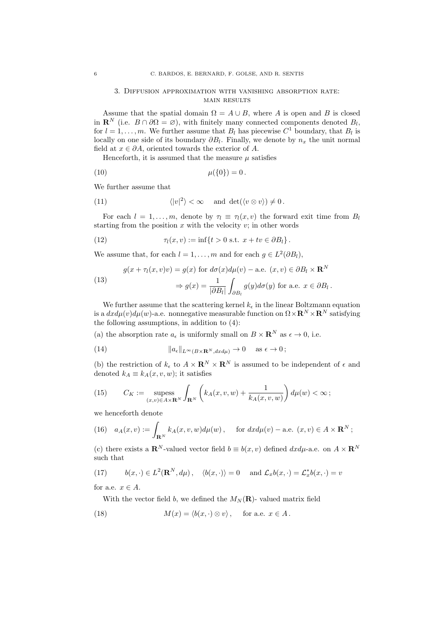#### 3. Diffusion approximation with vanishing absorption rate: main results

Assume that the spatial domain  $\Omega = A \cup B$ , where *A* is open and *B* is closed in  $\mathbf{R}^N$  (i.e.  $B \cap \partial \Omega = \emptyset$ ), with finitely many connected components denoted  $B_l$ , for  $l = 1, \ldots, m$ . We further assume that  $B_l$  has piecewise  $C^1$  boundary, that  $B_l$  is locally on one side of its boundary  $\partial B_l$ . Finally, we denote by  $n_x$  the unit normal field at  $x \in \partial A$ , oriented towards the exterior of A.

Henceforth, it is assumed that the measure  $\mu$  satisfies

(10) 
$$
\mu({0}) = 0.
$$

We further assume that

(11) 
$$
\langle |v|^2 \rangle < \infty
$$
 and  $\det(\langle v \otimes v \rangle) \neq 0$ .

For each  $l = 1, \ldots, m$ , denote by  $\tau_l \equiv \tau_l(x, v)$  the forward exit time from  $B_l$ starting from the position  $x$  with the velocity  $v$ ; in other words

(12) 
$$
\tau_l(x,v) := \inf\{t > 0 \text{ s.t. } x + tv \in \partial B_l\}.
$$

We assume that, for each  $l = 1, \ldots, m$  and for each  $q \in L^2(\partial B_l)$ ,

(13) 
$$
g(x + \tau_l(x, v)v) = g(x) \text{ for } d\sigma(x)d\mu(v) - \text{a.e. } (x, v) \in \partial B_l \times \mathbf{R}^N
$$

$$
\Rightarrow g(x) = \frac{1}{|\partial B_l|} \int_{\partial B_l} g(y) d\sigma(y) \text{ for a.e. } x \in \partial B_l.
$$

We further assume that the scattering kernel  $k_{\epsilon}$  in the linear Boltzmann equation is a  $dx d\mu(v) d\mu(w)$ -a.e. nonnegative measurable function on  $\Omega \times \mathbb{R}^N \times \mathbb{R}^N$  satisfying the following assumptions, in addition to (4):

(a) the absorption rate  $a_{\epsilon}$  is uniformly small on  $B \times \mathbf{R}^{N}$  as  $\epsilon \to 0$ , i.e.

(14) 
$$
\|a_{\epsilon}\|_{L^{\infty}(B\times\mathbf{R}^N,dxd\mu)}\to 0 \quad \text{as } \epsilon\to 0;
$$

(b) the restriction of  $k_{\epsilon}$  to  $A \times \mathbf{R}^{N} \times \mathbf{R}^{N}$  is assumed to be independent of  $\epsilon$  and denoted  $k_A \equiv k_A(x, v, w)$ ; it satisfies

(15) 
$$
C_K := \operatorname*{supess}_{(x,v)\in A\times\mathbf{R}^N} \int_{\mathbf{R}^N} \left( k_A(x,v,w) + \frac{1}{k_A(x,v,w)} \right) d\mu(w) < \infty;
$$

we henceforth denote

(16) 
$$
a_A(x,v) := \int_{\mathbf{R}^N} k_A(x,v,w) d\mu(w)
$$
, for  $dx d\mu(v) -$  a.e.  $(x,v) \in A \times \mathbf{R}^N$ ;

(c) there exists a  $\mathbb{R}^N$ -valued vector field  $b \equiv b(x, v)$  defined  $dx d\mu$ -a.e. on  $A \times \mathbb{R}^N$ such that

(17) 
$$
b(x, \cdot) \in L^2(\mathbf{R}^N, d\mu), \quad \langle b(x, \cdot) \rangle = 0 \quad \text{and } \mathcal{L}_x b(x, \cdot) = \mathcal{L}_x^* b(x, \cdot) = v
$$

for a.e.  $x \in A$ .

With the vector field *b*, we defined the  $M_N(\mathbf{R})$ - valued matrix field

(18) 
$$
M(x) = \langle b(x, \cdot) \otimes v \rangle, \quad \text{for a.e. } x \in A.
$$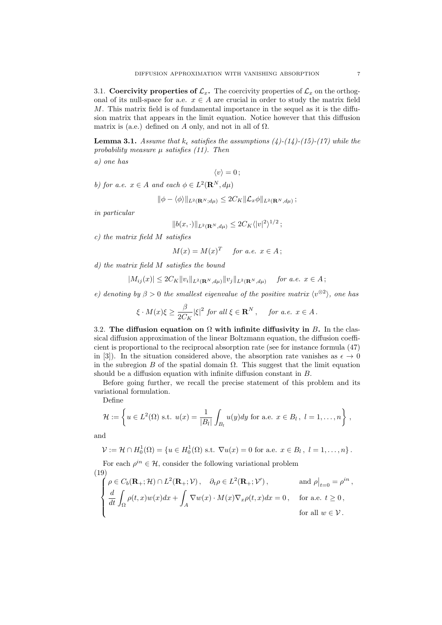3.1. Coercivity properties of  $\mathcal{L}_x$ . The coercivity properties of  $\mathcal{L}_x$  on the orthogonal of its null-space for a.e.  $x \in A$  are crucial in order to study the matrix field  $M$ . This matrix field is of fundamental importance in the sequel as it is the diffusion matrix that appears in the limit equation. Notice however that this diffusion matrix is (a.e.) defined on *A* only, and not in all of  $\Omega$ .

**Lemma 3.1.** *Assume that*  $k_{\epsilon}$  *satisfies the assumptions (4)-(14)-(15)-(17) while the* probability measure  $\mu$  *satisfies* (11). Then

*a) one has*

 $\langle v \rangle = 0$ ;

*b)* for a.e.  $x \in A$  and each  $\phi \in L^2(\mathbf{R}^N, d\mu)$ 

$$
\|\phi-\langle\phi\rangle\|_{L^2(\mathbf{R}^N;d\mu)}\leq 2C_K\|\mathcal{L}_x\phi\|_{L^2(\mathbf{R}^N,d\mu)}\,;
$$

*in particular*

$$
||b(x,\cdot)||_{L^2(\mathbf{R}^N,d\mu)} \leq 2C_K \langle |v|^2 \rangle^{1/2};
$$

*c) the matrix field M satisfies*

$$
M(x) = M(x)^{T} \quad \text{for a.e. } x \in A;
$$

*d) the matrix field M satisfies the bound*

$$
|M_{ij}(x)| \le 2C_K ||v_i||_{L^2(\mathbf{R}^N, d\mu)} ||v_j||_{L^2(\mathbf{R}^N, d\mu)} \quad \text{for a.e. } x \in A;
$$

*e)* denoting by  $\beta > 0$  the smallest eigenvalue of the positive matrix  $\langle v^{\otimes 2} \rangle$ , one has

$$
\xi \cdot M(x)\xi \ge \frac{\beta}{2C_K} |\xi|^2 \text{ for all } \xi \in \mathbf{R}^N, \quad \text{ for a.e. } x \in A.
$$

3.2. The diffusion equation on  $\Omega$  with infinite diffusivity in *B*. In the classical diffusion approximation of the linear Boltzmann equation, the diffusion coefficient is proportional to the reciprocal absorption rate (see for instance formula (47) in [3]). In the situation considered above, the absorption rate vanishes as  $\epsilon \to 0$ in the subregion  $B$  of the spatial domain  $\Omega$ . This suggest that the limit equation should be a diffusion equation with infinite diffusion constant in *B*.

Before going further, we recall the precise statement of this problem and its variational formulation.

Define

$$
\mathcal{H} := \left\{ u \in L^{2}(\Omega) \text{ s.t. } u(x) = \frac{1}{|B_{l}|} \int_{B_{l}} u(y) dy \text{ for a.e. } x \in B_{l}, l = 1, \ldots, n \right\},\
$$

and

$$
\mathcal{V} := \mathcal{H} \cap H_0^1(\Omega) = \{ u \in H_0^1(\Omega) \text{ s.t. } \nabla u(x) = 0 \text{ for a.e. } x \in B_l, l = 1, ..., n \}.
$$

For each  $\rho^{in} \in \mathcal{H}$ , consider the following variational problem (19)

$$
\begin{cases}\n\rho \in C_b(\mathbf{R}_+; \mathcal{H}) \cap L^2(\mathbf{R}_+; \mathcal{V}), & \partial_t \rho \in L^2(\mathbf{R}_+; \mathcal{V}'), \text{ and } \rho|_{t=0} = \rho^{in}, \\
\frac{d}{dt} \int_{\Omega} \rho(t, x) w(x) dx + \int_A \nabla w(x) \cdot M(x) \nabla_x \rho(t, x) dx = 0, & \text{for a.e. } t \ge 0, \\
\text{for all } w \in \mathcal{V}.\n\end{cases}
$$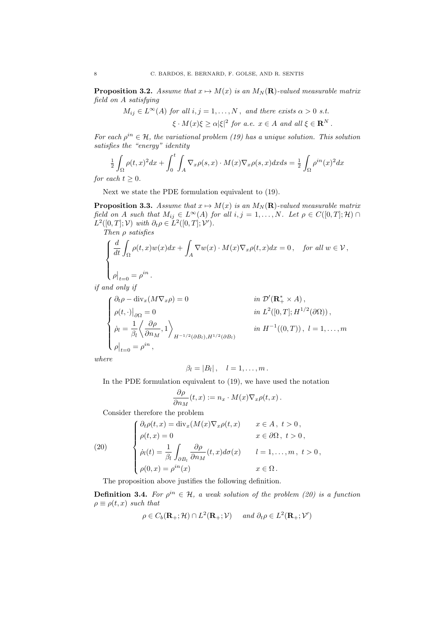**Proposition 3.2.** Assume that  $x \mapsto M(x)$  is an  $M_N(\mathbf{R})$ -valued measurable matrix *field on A satisfying*

> $M_{ij} \in L^{\infty}(A)$  *for all*  $i, j = 1, \ldots, N$ , *and there exists*  $\alpha > 0$  *s.t.*  $\xi \cdot M(x)\xi \ge \alpha |\xi|^2$  for a.e.  $x \in A$  and all  $\xi \in \mathbf{R}^N$ .

*For each*  $\rho^{in} \in \mathcal{H}$ *, the variational problem (19) has a unique solution. This solution satisfies the "energy" identity*

$$
\frac{1}{2} \int_{\Omega} \rho(t,x)^2 dx + \int_0^t \int_A \nabla_x \rho(s,x) \cdot M(x) \nabla_x \rho(s,x) dx ds = \frac{1}{2} \int_{\Omega} \rho^{in}(x)^2 dx
$$

*for each*  $t \geq 0$ *.* 

Next we state the PDE formulation equivalent to (19).

**Proposition 3.3.** Assume that  $x \mapsto M(x)$  is an  $M_N(\mathbf{R})$ -valued measurable matrix *field on A such that*  $M_{ij} \in L^{\infty}(A)$  *for all*  $i, j = 1, ..., N$ *. Let*  $\rho \in C([0, T]; \mathcal{H}) \cap$  $L^2([0, T]; \mathcal{V})$  *with*  $\partial_t \rho \in L^2([0, T]; \mathcal{V}').$ 

*Then*  $\rho$  *satisfies* 

$$
\label{eq:2.1} \left\{ \begin{aligned} &\frac{d}{dt}\int_{\Omega}\rho(t,x)w(x)dx+\int_{A}\nabla w(x)\cdot M(x)\nabla_x\rho(t,x)dx=0\,,\quad\textit{for all }w\in\mathcal{V}\,,\\ &\rho\big|_{t=0}=\rho^{in}\,. \end{aligned} \right.
$$

*if and only if*

$$
\begin{cases}\n\partial_t \rho - \text{div}_x(M\nabla_x \rho) = 0 & \text{in } \mathcal{D}'(\mathbf{R}_+^* \times A), \\
\rho(t, \cdot)|_{\partial\Omega} = 0 & \text{in } L^2([0, T]; H^{1/2}(\partial\Omega)), \\
\dot{\rho}_l = \frac{1}{\beta_l} \left\langle \frac{\partial \rho}{\partial n_M}, 1 \right\rangle_{H^{-1/2}(\partial B_l), H^{1/2}(\partial B_l)} & \text{in } H^{-1}((0, T)), \ l = 1, \dots, m \\
\rho|_{t=0} = \rho^{in},\n\end{cases}
$$

*where*

$$
\beta_l=|B_l|, \quad l=1,\ldots,m\,.
$$

In the PDE formulation equivalent to (19), we have used the notation

$$
\frac{\partial \rho}{\partial n_M}(t,x) := n_x \cdot M(x) \nabla_x \rho(t,x) .
$$

Consider therefore the problem

(20)  
\n
$$
\begin{cases}\n\partial_t \rho(t, x) = \text{div}_x (M(x) \nabla_x \rho(t, x) & x \in A, t > 0, \\
\rho(t, x) = 0 & x \in \partial \Omega, t > 0, \\
\dot{\rho}_l(t) = \frac{1}{\beta_l} \int_{\partial B_l} \frac{\partial \rho}{\partial n_M}(t, x) d\sigma(x) & l = 1, ..., m, t > 0, \\
\rho(0, x) = \rho^{in}(x) & x \in \Omega.\n\end{cases}
$$

The proposition above justifies the following definition.

**Definition 3.4.** For  $\rho^{in} \in \mathcal{H}$ , a weak solution of the problem (20) is a function  $\rho \equiv \rho(t, x)$  *such that* 

$$
\rho \in C_b(\mathbf{R}_+; \mathcal{H}) \cap L^2(\mathbf{R}_+; \mathcal{V}) \quad \text{and } \partial_t \rho \in L^2(\mathbf{R}_+; \mathcal{V}')
$$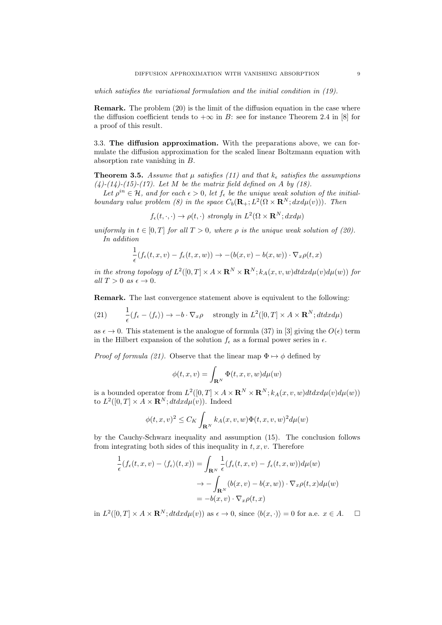*which satisfies the variational formulation and the initial condition in (19).*

**Remark.** The problem  $(20)$  is the limit of the diffusion equation in the case where the diffusion coefficient tends to  $+\infty$  in *B*: see for instance Theorem 2.4 in [8] for a proof of this result.

3.3. The diffusion approximation. With the preparations above, we can formulate the diffusion approximation for the scaled linear Boltzmann equation with absorption rate vanishing in *B*.

Theorem 3.5. *Assume that µ satisfies (11) and that k*✏ *satisfies the assumptions (4)-(14)-(15)-(17). Let M be the matrix field defined on A by (18).*

Let  $\rho^{in} \in \mathcal{H}$ , and for each  $\epsilon > 0$ , let  $f_{\epsilon}$  be the unique weak solution of the initial*boundary value problem (8) in the space*  $C_b(\mathbf{R}_+; L^2(\Omega \times \mathbf{R}^N; dx d\mu(v)))$ . Then

 $f_{\epsilon}(t, \cdot, \cdot) \rightarrow \rho(t, \cdot)$  *strongly in*  $L^2(\Omega \times \mathbf{R}^N; dx du)$ 

*uniformly in*  $t \in [0, T]$  *for all*  $T > 0$ *, where*  $\rho$  *is the unique weak solution of (20). In addition*

$$
\frac{1}{\epsilon}(f_{\epsilon}(t,x,v)-f_{\epsilon}(t,x,w))\to -(b(x,v)-b(x,w))\cdot\nabla_x\rho(t,x)
$$

*in the strong topology of*  $L^2([0,T] \times A \times \mathbf{R}^N \times \mathbf{R}^N; k_A(x,v,w)dt dx d\mu(v)d\mu(w)$  for  $all T > 0$  *as*  $\epsilon \rightarrow 0$ *.* 

Remark. The last convergence statement above is equivalent to the following:

(21) 
$$
\frac{1}{\epsilon}(f_{\epsilon} - \langle f_{\epsilon} \rangle) \to -b \cdot \nabla_x \rho \quad \text{strongly in } L^2([0, T] \times A \times \mathbf{R}^N; dt dx d\mu)
$$

as  $\epsilon \to 0$ . This statement is the analogue of formula (37) in [3] giving the  $O(\epsilon)$  term in the Hilbert expansion of the solution  $f_{\epsilon}$  as a formal power series in  $\epsilon$ .

*Proof of formula (21).* Observe that the linear map  $\Phi \mapsto \phi$  defined by

$$
\phi(t, x, v) = \int_{\mathbf{R}^N} \Phi(t, x, v, w) d\mu(w)
$$

is a bounded operator from  $L^2([0,T] \times A \times \mathbf{R}^N \times \mathbf{R}^N; k_A(x,v,w)dt dx d\mu(v)d\mu(w))$ to  $L^2([0,T] \times A \times \mathbf{R}^N; dt dx d\mu(v))$ . Indeed

$$
\phi(t, x, v)^2 \le C_K \int_{\mathbf{R}^N} k_A(x, v, w) \Phi(t, x, v, w)^2 d\mu(w)
$$

by the Cauchy-Schwarz inequality and assumption (15). The conclusion follows from integrating both sides of this inequality in *t, x, v*. Therefore

$$
\frac{1}{\epsilon}(f_{\epsilon}(t,x,v) - \langle f_{\epsilon} \rangle(t,x)) = \int_{\mathbf{R}^{N}} \frac{1}{\epsilon}(f_{\epsilon}(t,x,v) - f_{\epsilon}(t,x,w))d\mu(w)
$$

$$
\to -\int_{\mathbf{R}^{N}} (b(x,v) - b(x,w)) \cdot \nabla_{x}\rho(t,x)d\mu(w)
$$

$$
= -b(x,v) \cdot \nabla_{x}\rho(t,x)
$$

in  $L^2([0,T] \times A \times \mathbf{R}^N; dt dx d\mu(v))$  as  $\epsilon \to 0$ , since  $\langle b(x, \cdot) \rangle = 0$  for a.e.  $x \in A$ .  $\Box$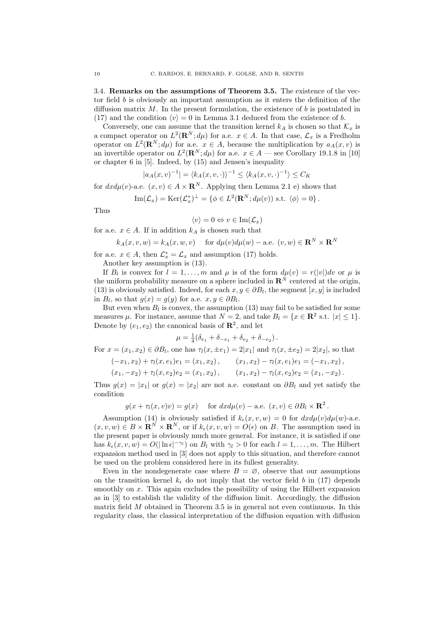3.4. Remarks on the assumptions of Theorem 3.5. The existence of the vector field *b* is obviously an important assumption as it enters the definition of the diffusion matrix  $M$ . In the present formulation, the existence of  $b$  is postulated in (17) and the condition  $\langle v \rangle = 0$  in Lemma 3.1 deduced from the existence of *b*.

Conversely, one can assume that the transition kernel  $k_A$  is chosen so that  $\mathcal{K}_r$  is a compact operator on  $L^2(\mathbf{R}^N; d\mu)$  for a.e.  $x \in A$ . In that case,  $\mathcal{L}_x$  is a Fredholm operator on  $L^2(\mathbf{R}^N; d\mu)$  for a.e.  $x \in A$ , because the multiplication by  $a_A(x, v)$  is an invertible operator on  $L^2(\mathbf{R}^N; d\mu)$  for a.e.  $x \in A$  — see Corollary 19.1.8 in [10] or chapter 6 in [5]. Indeed, by (15) and Jensen's inequality

$$
|a_A(x,v)^{-1}| = \langle k_A(x,v,\cdot) \rangle^{-1} \le \langle k_A(x,v,\cdot)^{-1} \rangle \le C_K
$$

for  $dx d\mu(v)$ -a.e.  $(x, v) \in A \times \mathbf{R}^N$ . Applying then Lemma 2.1 e) shows that

Im
$$
(\mathcal{L}_x)
$$
 = Ker $(\mathcal{L}_x^*)^{\perp}$  = { $\phi \in L^2(\mathbf{R}^N; d\mu(v))$  s.t.  $\langle \phi \rangle = 0$  }.

Thus

$$
\langle v \rangle = 0 \Leftrightarrow v \in \text{Im}(\mathcal{L}_x)
$$

for a.e.  $x \in A$ . If in addition  $k_A$  is chosen such that

$$
k_A(x, v, w) = k_A(x, w, v) \quad \text{ for } d\mu(v)d\mu(w) - \text{a.e. } (v, w) \in \mathbf{R}^N \times \mathbf{R}^N
$$

for a.e.  $x \in A$ , then  $\mathcal{L}^*_x = \mathcal{L}_x$  and assumption (17) holds.

Another key assumption is (13).

If *B*<sub>*l*</sub> is convex for  $l = 1, ..., m$  and  $\mu$  is of the form  $d\mu(v) = r(|v|)dv$  or  $\mu$  is the uniform probability measure on a sphere included in  $\mathbb{R}^N$  centered at the origin, (13) is obviously satisfied. Indeed, for each  $x, y \in \partial B_l$ , the segment  $[x, y]$  is included in  $B_l$ , so that  $g(x) = g(y)$  for a.e.  $x, y \in \partial B_l$ .

But even when  $B_l$  is convex, the assumption (13) may fail to be satisfied for some measures  $\mu$ . For instance, assume that  $N = 2$ , and take  $B_l = \{x \in \mathbb{R}^2 \text{ s.t. } |x| \leq 1\}.$ Denote by  $(e_1, e_2)$  the canonical basis of  $\mathbb{R}^2$ , and let

$$
\mu = \frac{1}{4} (\delta_{e_1} + \delta_{-e_1} + \delta_{e_2} + \delta_{-e_2}).
$$

For  $x = (x_1, x_2) \in \partial B_l$ , one has  $\tau_l(x, \pm e_1) = 2|x_1|$  and  $\tau_l(x, \pm e_2) = 2|x_2|$ , so that

$$
\begin{aligned}\n(-x_1, x_2) + \tau_l(x, e_1)e_1 &= (x_1, x_2), \\
(x_1, -x_2) + \tau_l(x, e_2)e_2 &= (x_1, x_2), \\
(x_1, -x_2) + \tau_l(x, e_2)e_2 &= (x_1, x_2), \\
(x_1, x_2) - \tau_l(x, e_2)e_2 &= (x_1, -x_2).\n\end{aligned}
$$

Thus  $g(x) = |x_1|$  or  $g(x) = |x_2|$  are not a.e. constant on  $\partial B_l$  and yet satisfy the condition

$$
g(x + \tau_l(x, v)v) = g(x)
$$
 for  $dx d\mu(v) -$  a.e.  $(x, v) \in \partial B_l \times \mathbb{R}^2$ .

Assumption (14) is obviously satisfied if  $k_{\epsilon}(x, v, w) = 0$  for  $dx d\mu(v) d\mu(w)$ -a.e.  $(x, v, w) \in B \times \mathbf{R}^N \times \mathbf{R}^N$ , or if  $k_{\epsilon}(x, v, w) = O(\epsilon)$  on *B*. The assumption used in the present paper is obviously much more general. For instance, it is satisfied if one has  $k_{\epsilon}(x, v, w) = O(|\ln \epsilon|^{-\gamma_l})$  on  $B_l$  with  $\gamma_l > 0$  for each  $l = 1, \ldots, m$ . The Hilbert expansion method used in [3] does not apply to this situation, and therefore cannot be used on the problem considered here in its fullest generality.

Even in the nondegenerate case where  $B = \emptyset$ , observe that our assumptions on the transition kernel  $k_{\epsilon}$  do not imply that the vector field *b* in (17) depends smoothly on x. This again excludes the possibility of using the Hilbert expansion as in  $[3]$  to establish the validity of the diffusion limit. Accordingly, the diffusion matrix field *M* obtained in Theorem 3.5 is in general not even continuous. In this regularity class, the classical interpretation of the diffusion equation with diffusion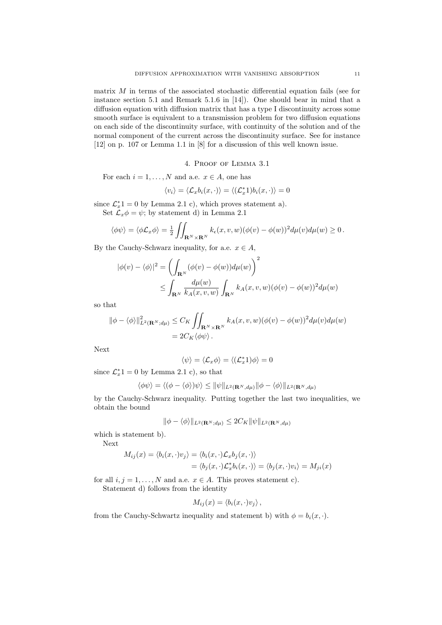matrix  $M$  in terms of the associated stochastic differential equation fails (see for instance section 5.1 and Remark 5.1.6 in [14]). One should bear in mind that a diffusion equation with diffusion matrix that has a type I discontinuity across some smooth surface is equivalent to a transmission problem for two diffusion equations on each side of the discontinuity surface, with continuity of the solution and of the normal component of the current across the discontinuity surface. See for instance [12] on p. 107 or Lemma 1.1 in [8] for a discussion of this well known issue.

## 4. Proof of Lemma 3.1

For each  $i = 1, \ldots, N$  and a.e.  $x \in A$ , one has

$$
\langle v_i \rangle = \langle \mathcal{L}_x b_i(x, \cdot) \rangle = \langle (\mathcal{L}_x^* 1) b_i(x, \cdot) \rangle = 0
$$

since  $\mathcal{L}_x^*$ 1 = 0 by Lemma 2.1 c), which proves statement a). Set  $\mathcal{L}_x \phi = \psi$ ; by statement d) in Lemma 2.1

$$
\langle \phi \psi \rangle = \langle \phi \mathcal{L}_x \phi \rangle = \frac{1}{2} \iint_{\mathbf{R}^N \times \mathbf{R}^N} k_{\epsilon}(x, v, w) (\phi(v) - \phi(w))^2 d\mu(v) d\mu(w) \ge 0.
$$

By the Cauchy-Schwarz inequality, for a.e.  $x \in A$ ,

$$
|\phi(v) - \langle \phi \rangle|^2 = \left( \int_{\mathbf{R}^N} (\phi(v) - \phi(w)) d\mu(w) \right)^2
$$
  
 
$$
\leq \int_{\mathbf{R}^N} \frac{d\mu(w)}{k_A(x, v, w)} \int_{\mathbf{R}^N} k_A(x, v, w) (\phi(v) - \phi(w))^2 d\mu(w)
$$

so that

$$
\begin{aligned} \|\phi - \langle \phi \rangle\|^2_{L^2(\mathbf{R}^N; d\mu)} &\leq C_K \iint_{\mathbf{R}^N \times \mathbf{R}^N} k_A(x, v, w) (\phi(v) - \phi(w))^2 d\mu(v) d\mu(w) \\ &= 2C_K \langle \phi \phi \rangle. \end{aligned}
$$

Next

$$
\langle \psi \rangle = \langle \mathcal{L}_x \phi \rangle = \langle (\mathcal{L}_x^* 1) \phi \rangle = 0
$$

since  $\mathcal{L}_x^*$ 1 = 0 by Lemma 2.1 c), so that

$$
\langle \phi \psi \rangle = \langle (\phi - \langle \phi \rangle) \psi \rangle \leq ||\psi||_{L^2(\mathbf{R}^N, d\mu)} ||\phi - \langle \phi \rangle||_{L^2(\mathbf{R}^N, d\mu)}
$$

by the Cauchy-Schwarz inequality. Putting together the last two inequalities, we obtain the bound

$$
\|\phi - \langle \phi \rangle\|_{L^2(\mathbf{R}^N; d\mu)} \le 2C_K \|\psi\|_{L^2(\mathbf{R}^N, d\mu)}
$$

which is statement b).

Next

$$
M_{ij}(x) = \langle b_i(x, \cdot) v_j \rangle = \langle b_i(x, \cdot) \mathcal{L}_x b_j(x, \cdot) \rangle
$$
  
=  $\langle b_j(x, \cdot) \mathcal{L}_x^* b_i(x, \cdot) \rangle = \langle b_j(x, \cdot) v_i \rangle = M_{ji}(x)$ 

for all  $i, j = 1, \ldots, N$  and a.e.  $x \in A$ . This proves statement c).

Statement d) follows from the identity

$$
M_{ij}(x) = \langle b_i(x, \cdot)v_j \rangle ,
$$

from the Cauchy-Schwartz inequality and statement b) with  $\phi = b_i(x, \cdot)$ .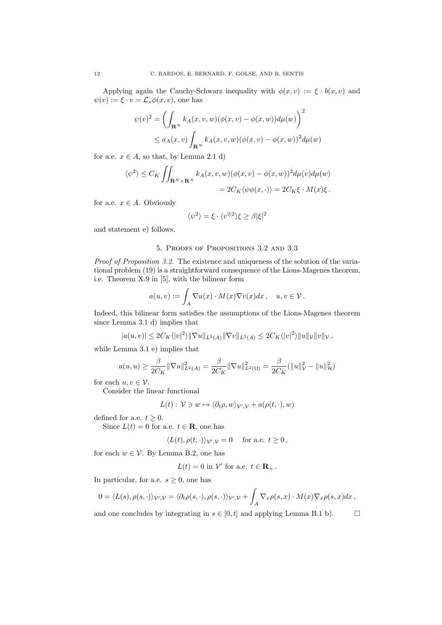Applying again the Cauchy-Schwarz inequality with  $\phi(x, v) := \xi \cdot b(x, v)$  and  $\psi(v) := \xi \cdot v = \mathcal{L}_x \phi(x, v)$ , one has

$$
\psi(v)^2 = \left(\int_{\mathbf{R}^N} k_A(x, v, w)(\phi(x, v) - \phi(x, w))d\mu(w)\right)^2
$$
  

$$
\leq a_A(x, v)\int_{\mathbf{R}^N} k_A(x, v, w)(\phi(x, v) - \phi(x, w))^2d\mu(w)
$$

for a.e.  $x \in A$ , so that, by Lemma 2.1 d)

$$
\langle \psi^2 \rangle \le C_K \iint_{\mathbf{R}^N \times \mathbf{R}^N} k_A(x, v, w) (\phi(x, v) - \phi(x, w))^2 d\mu(v) d\mu(w)
$$
  
=  $2C_K \langle \psi \phi(x, \cdot) \rangle = 2C_K \xi \cdot M(x) \xi$ .

for a.e.  $x \in A$ . Obviously

$$
\langle \psi^2 \rangle = \xi \cdot \langle v^{\otimes 2} \rangle \xi \ge \beta |\xi|^2
$$

and statement e) follows.

## 5. Proofs of Propositions 3.2 and 3.3

*Proof of Proposition 3.2.* The existence and uniqueness of the solution of the variational problem (19) is a straightforward consequence of the Lions-Magenes theorem, i.e. Theorem X.9 in [5], with the bilinear form

$$
a(u,v) := \int_A \nabla u(x) \cdot M(x) \nabla v(x) dx, \quad u, v \in \mathcal{V}.
$$

Indeed, this bilinear form satisfies the assumptions of the Lions-Magenes theorem since Lemma 3.1 d) implies that

$$
|a(u,v)| \leq 2C_K \langle |v|^2 \rangle ||\nabla u||_{L^2(A)} ||\nabla v||_{L^2(A)} \leq 2C_K \langle |v|^2 \rangle ||u||_{\mathcal{V}} ||v||_{\mathcal{V}},
$$

while Lemma 3.1 e) implies that

$$
a(u, u) \ge \frac{\beta}{2C_K} \|\nabla u\|_{L^2(A)}^2 = \frac{\beta}{2C_K} \|\nabla u\|_{L^2(\Omega)}^2 = \frac{\beta}{2C_K} (\|u\|_{\mathcal{V}}^2 - \|u\|_{\mathcal{H}}^2)
$$

for each  $u, v \in \mathcal{V}$ .

Consider the linear functional

$$
L(t): \mathcal{V} \ni w \mapsto \langle \partial_t \rho, w \rangle_{\mathcal{V}',\mathcal{V}} + a(\rho(t,\cdot),w)
$$

defined for a.e.  $t \geq 0$ .

Since  $L(t) = 0$  for a.e.  $t \in \mathbf{R}$ , one has

$$
\langle L(t), \rho(t, \cdot) \rangle_{\mathcal{V}', \mathcal{V}} = 0 \quad \text{ for a.e. } t \ge 0,
$$

for each  $w \in V$ . By Lemma B.2, one has

$$
L(t) = 0
$$
 in  $\mathcal{V}'$  for a.e.  $t \in \mathbf{R}_+$ .

In particular, for a.e.  $s \geq 0$ , one has

$$
0 = \langle L(s), \rho(s, \cdot) \rangle_{\mathcal{V}', \mathcal{V}} = \langle \partial_t \rho(s, \cdot), \rho(s, \cdot) \rangle_{\mathcal{V}', \mathcal{V}} + \int_A \nabla_x \rho(s, x) \cdot M(x) \nabla_x \rho(s, x) dx,
$$

and one concludes by integrating in  $s \in [0, t]$  and applying Lemma B.1 b).  $\Box$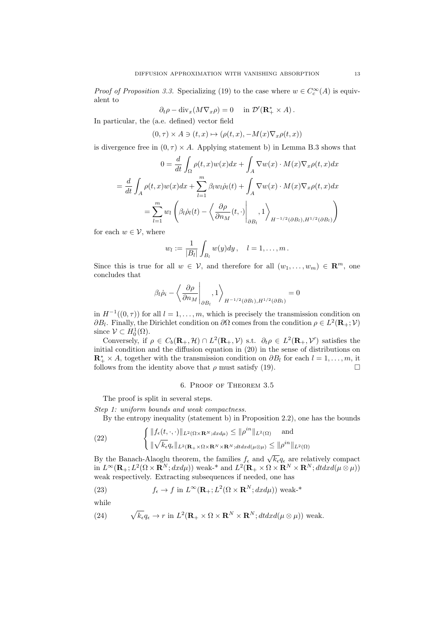*Proof of Proposition 3.3.* Specializing (19) to the case where  $w \in C_c^{\infty}(A)$  is equivalent to

$$
\partial_t \rho - \mathrm{div}_x(M\nabla_x \rho) = 0 \quad \text{in } \mathcal{D}'(\mathbf{R}_+^* \times A).
$$

In particular, the (a.e. defined) vector field

$$
(0, \tau) \times A \ni (t, x) \mapsto (\rho(t, x), -M(x)\nabla_x \rho(t, x))
$$

is divergence free in  $(0, \tau) \times A$ . Applying statement b) in Lemma B.3 shows that

$$
0 = \frac{d}{dt} \int_{\Omega} \rho(t, x) w(x) dx + \int_{A} \nabla w(x) \cdot M(x) \nabla_x \rho(t, x) dx
$$
  

$$
= \frac{d}{dt} \int_{A} \rho(t, x) w(x) dx + \sum_{l=1}^{m} \beta_l w_l \dot{\rho}_l(t) + \int_{A} \nabla w(x) \cdot M(x) \nabla_x \rho(t, x) dx
$$
  

$$
= \sum_{l=1}^{m} w_l \left( \beta_l \dot{\rho}_l(t) - \left\langle \frac{\partial \rho}{\partial n_M}(t, \cdot) \Big|_{\partial B_l}, 1 \right\rangle_{H^{-1/2}(\partial B_l), H^{1/2}(\partial B_l)} \right)
$$

for each  $w \in \mathcal{V}$ , where

$$
w_l := \frac{1}{|B_l|} \int_{B_l} w(y) dy, \quad l = 1, \ldots, m.
$$

Since this is true for all  $w \in V$ , and therefore for all  $(w_1, \ldots, w_m) \in \mathbb{R}^m$ , one concludes that

$$
\beta_l \dot{\rho}_i - \left\langle \frac{\partial \rho}{\partial n_M} \Bigg|_{\partial B_l}, 1 \right\rangle_{H^{-1/2}(\partial B_l), H^{1/2}(\partial B_l)} = 0
$$

in  $H^{-1}((0, \tau))$  for all  $l = 1, \ldots, m$ , which is precisely the transmission condition on  $\partial B_l$ . Finally, the Dirichlet condition on  $\partial \Omega$  comes from the condition  $\rho \in L^2(\mathbf{R}_+; \mathcal{V})$ since  $V \subset H_0^1(\Omega)$ .

Conversely, if  $\rho \in C_b(\mathbf{R}_+,\mathcal{H}) \cap L^2(\mathbf{R}_+,\mathcal{V})$  s.t.  $\partial_t \rho \in L^2(\mathbf{R}_+,\mathcal{V}')$  satisfies the initial condition and the diffusion equation in  $(20)$  in the sense of distributions on  $\mathbf{R}_{+}^{*} \times A$ , together with the transmission condition on  $\partial B_l$  for each  $l = 1, \ldots, m$ , it follows from the identity above that  $\rho$  must satisfy (19).  $\Box$ 

#### 6. Proof of Theorem 3.5

The proof is split in several steps.

*Step 1: uniform bounds and weak compactness.*

By the entropy inequality (statement b) in Proposition 2.2), one has the bounds

(22) 
$$
\begin{cases} ||f_{\epsilon}(t,\cdot,\cdot)||_{L^{2}(\Omega\times\mathbf{R}^{N};dxd\mu)} \leq ||\rho^{in}||_{L^{2}(\Omega)} \quad \text{and} \\ ||\sqrt{k_{\epsilon}}q_{\epsilon}||_{L^{2}(\mathbf{R}_{+}\times\Omega\times\mathbf{R}^{N}\times\mathbf{R}^{N};dtdxd(\mu\otimes\mu)} \leq ||\rho^{in}||_{L^{2}(\Omega)} \end{cases}
$$

By the Banach-Alaoglu theorem, the families  $f_{\epsilon}$  and  $\sqrt{k_{\epsilon}}q_{\epsilon}$  are relatively compact  $\sin L^{\infty}(\mathbf{R}_{+};L^{2}(\Omega \times \mathbf{R}^{N};dxd\mu))$  weak-\* and  $L^{2}(\mathbf{R}_{+} \times \Omega \times \mathbf{R}^{N} \times \mathbf{R}^{N};dtdxd(\mu \otimes \mu))$ weak respectively. Extracting subsequences if needed, one has

(23) 
$$
f_{\epsilon} \to f
$$
 in  $L^{\infty}(\mathbf{R}_{+}; L^{2}(\Omega \times \mathbf{R}^{N}; dxd\mu))$  weak-\*

while

(24) 
$$
\sqrt{k_{\epsilon}}q_{\epsilon} \to r \text{ in } L^{2}(\mathbf{R}_{+} \times \Omega \times \mathbf{R}^{N} \times \mathbf{R}^{N}; dt dx d(\mu \otimes \mu)) \text{ weak.}
$$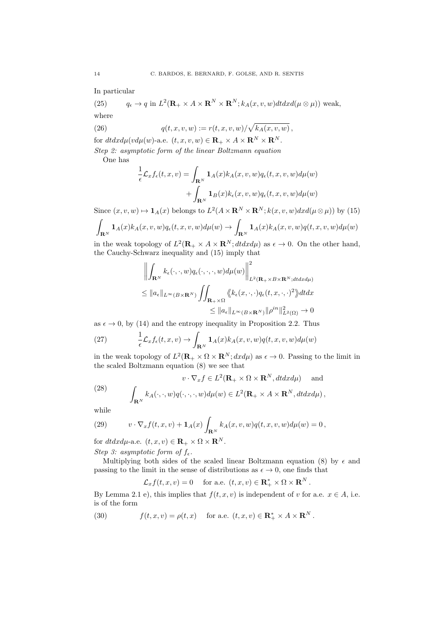In particular

(25)  $q_{\epsilon} \to q \text{ in } L^2(\mathbf{R}_+ \times A \times \mathbf{R}^N \times \mathbf{R}^N; k_A(x, v, w) dt dx d(\mu \otimes \mu)$ ) weak, where

(26) 
$$
q(t, x, v, w) := r(t, x, v, w) / \sqrt{k_A(x, v, w)},
$$

for  $dtdxd\mu(vd\mu(w)$ -a.e.  $(t, x, v, w) \in \mathbf{R}_+ \times A \times \mathbf{R}^N \times \mathbf{R}^N$ . *Step 2: asymptotic form of the linear Boltzmann equation*

One has

$$
\frac{1}{\epsilon} \mathcal{L}_x f_{\epsilon}(t, x, v) = \int_{\mathbf{R}^N} \mathbf{1}_A(x) k_A(x, v, w) q_{\epsilon}(t, x, v, w) d\mu(w) \n+ \int_{\mathbf{R}^N} \mathbf{1}_B(x) k_{\epsilon}(x, v, w) q_{\epsilon}(t, x, v, w) d\mu(w)
$$

Since  $(x, v, w) \mapsto \mathbf{1}_A(x)$  belongs to  $L^2(A \times \mathbf{R}^N \times \mathbf{R}^N; k(x, v, w) dx d(\mu \otimes \mu))$  by (15)

$$
\int_{\mathbf{R}^N}\mathbf{1}_A(x)k_A(x,v,w)q_\epsilon(t,x,v,w)d\mu(w)\to \int_{\mathbf{R}^N}\mathbf{1}_A(x)k_A(x,v,w)q(t,x,v,w)d\mu(w)
$$

in the weak topology of  $L^2(\mathbf{R}_+ \times A \times \mathbf{R}^N; dt dx d\mu)$  as  $\epsilon \to 0$ . On the other hand, the Cauchy-Schwarz inequality and (15) imply that

$$
\left\| \int_{\mathbf{R}^N} k_{\epsilon}(\cdot, \cdot, w) q_{\epsilon}(\cdot, \cdot, \cdot, w) d\mu(w) \right\|_{L^2(\mathbf{R}_+ \times B \times \mathbf{R}^N; dt dx d\mu)}^2
$$
  
\n
$$
\leq \|a_{\epsilon}\|_{L^{\infty}(B \times \mathbf{R}^N)} \iint_{\mathbf{R}_+ \times \Omega} \langle\!\langle k_{\epsilon}(x, \cdot, \cdot) q_{\epsilon}(t, x, \cdot, \cdot)^2 \rangle\!\rangle dt dx
$$
  
\n
$$
\leq \|a_{\epsilon}\|_{L^{\infty}(B \times \mathbf{R}^N)} \|\rho^{in}\|_{L^2(\Omega)}^2 \to 0
$$

as  $\epsilon \to 0$ , by (14) and the entropy inequality in Proposition 2.2. Thus

(27) 
$$
\frac{1}{\epsilon} \mathcal{L}_x f_{\epsilon}(t, x, v) \rightarrow \int_{\mathbf{R}^N} \mathbf{1}_A(x) k_A(x, v, w) q(t, x, v, w) d\mu(w)
$$

in the weak topology of  $L^2(\mathbf{R}_+ \times \Omega \times \mathbf{R}^N; dx d\mu)$  as  $\epsilon \to 0$ . Passing to the limit in the scaled Boltzmann equation (8) we see that

(28) 
$$
v \cdot \nabla_x f \in L^2(\mathbf{R}_+ \times \Omega \times \mathbf{R}^N, dt dx d\mu) \text{ and}
$$

$$
\int_{\mathbf{R}^N} k_A(\cdot, \cdot, w) q(\cdot, \cdot, \cdot, w) d\mu(w) \in L^2(\mathbf{R}_+ \times A \times \mathbf{R}^N, dt dx d\mu),
$$

while

(29) 
$$
v \cdot \nabla_x f(t, x, v) + \mathbf{1}_A(x) \int_{\mathbf{R}^N} k_A(x, v, w) q(t, x, v, w) d\mu(w) = 0,
$$

for  $dtdxd\mu$ -a.e.  $(t, x, v) \in \mathbf{R}_+ \times \Omega \times \mathbf{R}^N$ .

*Step 3:* asymptotic form of  $f_{\epsilon}$ .

Multiplying both sides of the scaled linear Boltzmann equation (8) by  $\epsilon$  and passing to the limit in the sense of distributions as  $\epsilon \to 0$ , one finds that

$$
\mathcal{L}_x f(t, x, v) = 0
$$
 for a.e.  $(t, x, v) \in \mathbb{R}_+^* \times \Omega \times \mathbb{R}^N$ .

By Lemma 2.1 e), this implies that  $f(t, x, v)$  is independent of *v* for a.e.  $x \in A$ , i.e. is of the form

(30)  $f(t, x, v) = \rho(t, x)$  for a.e.  $(t, x, v) \in \mathbb{R}_+^* \times A \times \mathbb{R}^N$ .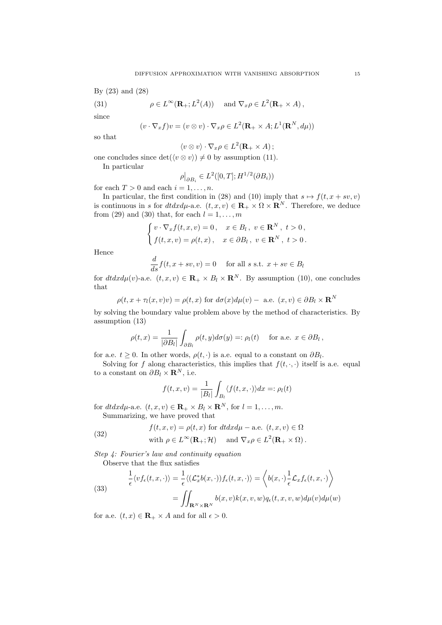By (23) and (28)

(31) 
$$
\rho \in L^{\infty}(\mathbf{R}_{+};L^{2}(A)) \text{ and } \nabla_{x}\rho \in L^{2}(\mathbf{R}_{+}\times A),
$$

since

$$
(v \cdot \nabla_x f)v = (v \otimes v) \cdot \nabla_x \rho \in L^2(\mathbf{R}_+ \times A; L^1(\mathbf{R}^N, d\mu))
$$

so that

$$
\langle v \otimes v \rangle \cdot \nabla_x \rho \in L^2(\mathbf{R}_+ \times A);
$$

one concludes since  $\det(\langle v \otimes v \rangle) \neq 0$  by assumption (11).

In particular

$$
\rho|_{\partial B_i} \in L^2([0,T];H^{1/2}(\partial B_i))
$$

for each  $T > 0$  and each  $i = 1, \ldots, n$ .

In particular, the first condition in (28) and (10) imply that  $s \mapsto f(t, x + sv, v)$ is continuous in *s* for  $dtdxd\mu$ -a.e.  $(t, x, v) \in \mathbf{R}_+ \times \Omega \times \mathbf{R}^N$ . Therefore, we deduce from (29) and (30) that, for each  $l = 1, \ldots, m$ 

$$
\begin{cases}\nv \cdot \nabla_x f(t, x, v) = 0, & x \in B_l, v \in \mathbf{R}^N, t > 0, \\
f(t, x, v) = \rho(t, x), & x \in \partial B_l, v \in \mathbf{R}^N, t > 0.\n\end{cases}
$$

Hence

$$
\frac{d}{ds}f(t, x + sv, v) = 0 \quad \text{for all } s \text{ s.t. } x + sv \in B_l
$$

for  $dtdxd\mu(v)$ -a.e.  $(t, x, v) \in \mathbf{R}_+ \times B_l \times \mathbf{R}^N$ . By assumption (10), one concludes that

$$
\rho(t, x + \tau_l(x, v)v) = \rho(t, x) \text{ for } d\sigma(x)d\mu(v) - \text{ a.e. } (x, v) \in \partial B_l \times \mathbf{R}^N
$$

by solving the boundary value problem above by the method of characteristics. By assumption (13)

$$
\rho(t,x) = \frac{1}{|\partial B_l|} \int_{\partial B_l} \rho(t,y) d\sigma(y) =: \rho_l(t) \quad \text{ for a.e. } x \in \partial B_l,
$$

for a.e.  $t \geq 0$ . In other words,  $\rho(t, \cdot)$  is a.e. equal to a constant on  $\partial B_l$ .

Solving for *f* along characteristics, this implies that  $f(t, \cdot, \cdot)$  itself is a.e. equal to a constant on  $\partial B_l \times \mathbf{R}^N$ , i.e.

$$
f(t, x, v) = \frac{1}{|B_l|} \int_{B_l} \langle f(t, x, \cdot) \rangle dx =: \rho_l(t)
$$

for  $dtdxd\mu$ -a.e.  $(t, x, v) \in \mathbf{R}_+ \times B_l \times \mathbf{R}^N$ , for  $l = 1, ..., m$ . Summarizing, we have proved that

(32) 
$$
f(t, x, v) = \rho(t, x) \text{ for } dt dx d\mu - \text{a.e. } (t, x, v) \in \Omega
$$

with 
$$
\rho \in L^{\infty}(\mathbf{R}_{+}; \mathcal{H})
$$
 and  $\nabla_x \rho \in L^2(\mathbf{R}_{+} \times \Omega)$ .

*Step 4: Fourier's law and continuity equation* Observe that the flux satisfies

(33)  

$$
\frac{1}{\epsilon} \langle v f_{\epsilon}(t, x, \cdot) \rangle = \frac{1}{\epsilon} \langle (\mathcal{L}_x^* b(x, \cdot)) f_{\epsilon}(t, x, \cdot) \rangle = \left\langle b(x, \cdot) \frac{1}{\epsilon} \mathcal{L}_x f_{\epsilon}(t, x, \cdot) \right\rangle
$$

$$
= \iint_{\mathbf{R}^N \times \mathbf{R}^N} b(x, v) k(x, v, w) q_{\epsilon}(t, x, v, w) d\mu(v) d\mu(w)
$$

for a.e.  $(t, x) \in \mathbf{R}_{+} \times A$  and for all  $\epsilon > 0$ .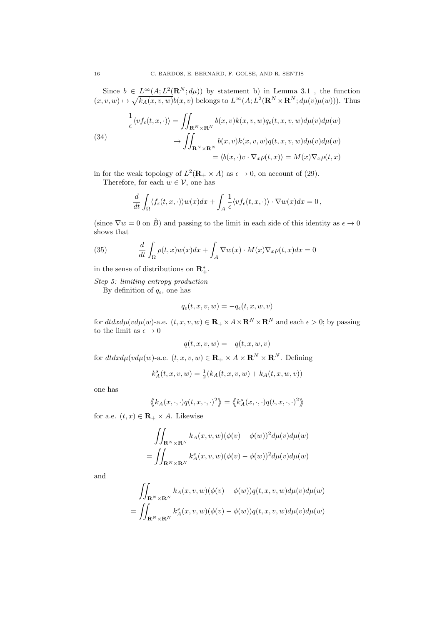Since  $b \in L^{\infty}(A; L^2(\mathbf{R}^N; d\mu))$  by statement b) in Lemma 3.1, the function  $(x, v, w) \mapsto \sqrt{k_A(x, v, w)}b(x, v)$  belongs to  $L^{\infty}(A; L^2(\mathbf{R}^N \times \mathbf{R}^N; d\mu(v)\mu(w)))$ . Thus

(34)  
\n
$$
\frac{1}{\epsilon} \langle v f_{\epsilon}(t, x, \cdot) \rangle = \iint_{\mathbf{R}^N \times \mathbf{R}^N} b(x, v) k(x, v, w) q_{\epsilon}(t, x, v, w) d\mu(v) d\mu(w)
$$
\n
$$
\to \iint_{\mathbf{R}^N \times \mathbf{R}^N} b(x, v) k(x, v, w) q(t, x, v, w) d\mu(v) d\mu(w)
$$
\n
$$
= \langle b(x, \cdot) v \cdot \nabla_x \rho(t, x) \rangle = M(x) \nabla_x \rho(t, x)
$$

in for the weak topology of  $L^2(\mathbf{R}_+ \times A)$  as  $\epsilon \to 0$ , on account of (29).

Therefore, for each  $w \in \mathcal{V}$ , one has

$$
\frac{d}{dt} \int_{\Omega} \langle f_{\epsilon}(t, x, \cdot) \rangle w(x) dx + \int_{A} \frac{1}{\epsilon} \langle v f_{\epsilon}(t, x, \cdot) \rangle \cdot \nabla w(x) dx = 0,
$$

(since  $\nabla w = 0$  on  $\overset{\circ}{B}$ ) and passing to the limit in each side of this identity as  $\epsilon \to 0$ shows that

(35) 
$$
\frac{d}{dt} \int_{\Omega} \rho(t, x) w(x) dx + \int_{A} \nabla w(x) \cdot M(x) \nabla_x \rho(t, x) dx = 0
$$

in the sense of distributions on  $\mathbb{R}^*_+$ .

*Step 5: limiting entropy production*

By definition of  $q_{\epsilon}$ , one has

$$
q_{\epsilon}(t,x,v,w) = -q_{\epsilon}(t,x,w,v)
$$

for  $dtdxd\mu(vd\mu(w)$ -a.e.  $(t, x, v, w) \in \mathbb{R}_+ \times A \times \mathbb{R}^N \times \mathbb{R}^N$  and each  $\epsilon > 0$ ; by passing to the limit as  $\epsilon \to 0$ 

$$
q(t, x, v, w) = -q(t, x, w, v)
$$

for  $dtdxd\mu(vd\mu(w)$ -a.e.  $(t, x, v, w) \in \mathbb{R}_+ \times A \times \mathbb{R}^N \times \mathbb{R}^N$ . Defining

$$
k_A^s(t, x, v, w) = \frac{1}{2}(k_A(t, x, v, w) + k_A(t, x, w, v))
$$

one has

$$
\langle k_A(x,\cdot,\cdot)q(t,x,\cdot,\cdot)^2\rangle = \langle k_A^s(x,\cdot,\cdot)q(t,x,\cdot,\cdot)^2\rangle
$$

for a.e.  $(t, x) \in \mathbf{R}_+ \times A$ . Likewise

$$
\iint_{\mathbf{R}^N \times \mathbf{R}^N} k_A(x, v, w) (\phi(v) - \phi(w))^2 d\mu(v) d\mu(w)
$$
  
= 
$$
\iint_{\mathbf{R}^N \times \mathbf{R}^N} k_A^s(x, v, w) (\phi(v) - \phi(w))^2 d\mu(v) d\mu(w)
$$

and

$$
\iint_{\mathbf{R}^N \times \mathbf{R}^N} k_A(x, v, w)(\phi(v) - \phi(w))q(t, x, v, w)d\mu(v)d\mu(w)
$$
  
= 
$$
\iint_{\mathbf{R}^N \times \mathbf{R}^N} k_A^s(x, v, w)(\phi(v) - \phi(w))q(t, x, v, w)d\mu(v)d\mu(w)
$$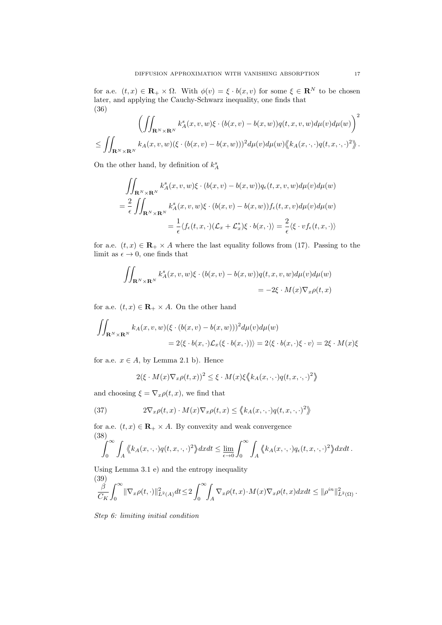for a.e.  $(t, x) \in \mathbf{R}_+ \times \Omega$ . With  $\phi(v) = \xi \cdot b(x, v)$  for some  $\xi \in \mathbf{R}^N$  to be chosen later, and applying the Cauchy-Schwarz inequality, one finds that (36)

$$
\left(\iint_{\mathbf{R}^N\times\mathbf{R}^N} k_A^s(x,v,w)\xi \cdot (b(x,v) - b(x,w))q(t,x,v,w)d\mu(v)d\mu(w)\right)^2
$$
  

$$
\leq \iint_{\mathbf{R}^N\times\mathbf{R}^N} k_A(x,v,w)(\xi \cdot (b(x,v) - b(x,w)))^2 d\mu(v)d\mu(w)\langle k_A(x,\cdot,\cdot)q(t,x,\cdot,\cdot)^2\rangle.
$$

On the other hand, by definition of  $k_A^s$ 

$$
\iint_{\mathbf{R}^N \times \mathbf{R}^N} k_A^s(x, v, w) \xi \cdot (b(x, v) - b(x, w)) q_{\epsilon}(t, x, v, w) d\mu(v) d\mu(w)
$$
  
= 
$$
\frac{2}{\epsilon} \iint_{\mathbf{R}^N \times \mathbf{R}^N} k_A^s(x, v, w) \xi \cdot (b(x, v) - b(x, w)) f_{\epsilon}(t, x, v) d\mu(v) d\mu(w)
$$
  
= 
$$
\frac{1}{\epsilon} \langle f_{\epsilon}(t, x, \cdot) (\mathcal{L}_x + \mathcal{L}_x^*) \xi \cdot b(x, \cdot) \rangle = \frac{2}{\epsilon} \langle \xi \cdot v f_{\epsilon}(t, x, \cdot) \rangle
$$

for a.e.  $(t, x) \in \mathbf{R}_+ \times A$  where the last equality follows from (17). Passing to the limit as  $\epsilon \to 0$ , one finds that

$$
\iint_{\mathbf{R}^N \times \mathbf{R}^N} k_A^s(x, v, w) \xi \cdot (b(x, v) - b(x, w)) q(t, x, v, w) d\mu(v) d\mu(w)
$$
  
= -2\xi \cdot M(x) \nabla\_x \rho(t, x)

for a.e.  $(t, x) \in \mathbf{R}_+ \times A$ . On the other hand

$$
\iint_{\mathbf{R}^N \times \mathbf{R}^N} k_A(x, v, w) (\xi \cdot (b(x, v) - b(x, w)))^2 d\mu(v) d\mu(w)
$$
  
=  $2 \langle \xi \cdot b(x, \cdot) \mathcal{L}_x(\xi \cdot b(x, \cdot)) \rangle = 2 \langle \xi \cdot b(x, \cdot) \xi \cdot v \rangle = 2\xi \cdot M(x)\xi$ 

for a.e.  $x \in A$ , by Lemma 2.1 b). Hence

$$
2(\xi \cdot M(x)\nabla_x \rho(t,x))^2 \leq \xi \cdot M(x)\xi \langle k_A(x,\cdot,\cdot)\rho(t,x,\cdot,\cdot)^2 \rangle
$$

and choosing  $\xi = \nabla_x \rho(t, x)$ , we find that

(37) 
$$
2\nabla_x \rho(t,x) \cdot M(x) \nabla_x \rho(t,x) \leq \langle k_A(x,\cdot,\cdot) q(t,x,\cdot,\cdot)^2 \rangle
$$

for a.e.  $(t, x) \in \mathbf{R}_+ \times A$ . By convexity and weak convergence (38)

$$
\int_0^\infty \int_A \langle k_A(x,\cdot,\cdot)q(t,x,\cdot,\cdot)^2 \rangle dxdt \leq \lim_{\epsilon \to 0} \int_0^\infty \int_A \langle k_A(x,\cdot,\cdot)q_\epsilon(t,x,\cdot,\cdot)^2 \rangle dxdt.
$$

Using Lemma 3.1 e) and the entropy inequality

(39)  
\n
$$
\frac{\beta}{C_K} \int_0^\infty \|\nabla_x \rho(t,\cdot)\|_{L^2(A)}^2 dt \le 2 \int_0^\infty \int_A \nabla_x \rho(t,x) \cdot M(x) \nabla_x \rho(t,x) dx dt \le \|\rho^{in}\|_{L^2(\Omega)}^2.
$$

*Step 6: limiting initial condition*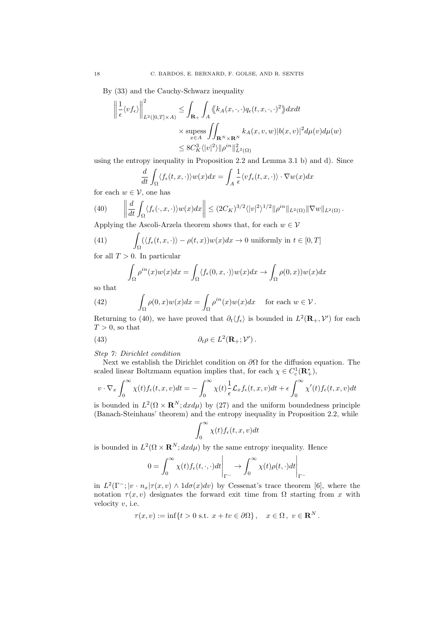By (33) and the Cauchy-Schwarz inequality

$$
\left\| \frac{1}{\epsilon} \langle v f_{\epsilon} \rangle \right\|_{L^{2}([0,T] \times A)}^{2} \leq \int_{\mathbf{R}_{+}} \int_{A} \langle \langle k_{A}(x, \cdot, \cdot) q_{\epsilon}(t, x, \cdot, \cdot)^{2} \rangle \rangle dx dt
$$
  
× supess  $\int_{x \in A} \int_{\mathbf{R}^{N} \times \mathbf{R}^{N}} k_{A}(x, v, w) |b(x, v)|^{2} d\mu(v) d\mu(w)$   
≤  $8C_{K}^{3} \langle |v|^{2} \rangle ||\rho^{in}||_{L^{2}(\Omega)}^{2}$ 

using the entropy inequality in Proposition 2.2 and Lemma 3.1 b) and d). Since

$$
\frac{d}{dt} \int_{\Omega} \langle f_{\epsilon}(t, x, \cdot) \rangle w(x) dx = \int_{A} \frac{1}{\epsilon} \langle v f_{\epsilon}(t, x, \cdot) \rangle \cdot \nabla w(x) dx
$$

for each  $w \in \mathcal{V}$ , one has

(40) 
$$
\left\| \frac{d}{dt} \int_{\Omega} \langle f_{\epsilon}(\cdot, x, \cdot) \rangle w(x) dx \right\| \leq (2C_K)^{3/2} \langle |v|^2 \rangle^{1/2} \| \rho^{in} \|_{L^2(\Omega)} \| \nabla w \|_{L^2(\Omega)}.
$$

Applying the Ascoli-Arzela theorem shows that, for each  $w \in V$ 

(41) 
$$
\int_{\Omega} (\langle f_{\epsilon}(t,x,\cdot) \rangle - \rho(t,x))w(x)dx \to 0 \text{ uniformly in } t \in [0,T]
$$

for all  $T > 0$ . In particular

$$
\int_{\Omega} \rho^{in}(x)w(x)dx = \int_{\Omega} \langle f_{\epsilon}(0, x, \cdot) \rangle w(x)dx \to \int_{\Omega} \rho(0, x))w(x)dx
$$

so that

(42) 
$$
\int_{\Omega} \rho(0,x)w(x)dx = \int_{\Omega} \rho^{in}(x)w(x)dx \quad \text{for each } w \in \mathcal{V}.
$$

Returning to (40), we have proved that  $\partial_t \langle f_{\epsilon} \rangle$  is bounded in  $L^2(\mathbf{R}_+,\mathcal{V}')$  for each  $T > 0$ , so that

(43) 
$$
\partial_t \rho \in L^2(\mathbf{R}_+; \mathcal{V}').
$$

*Step 7: Dirichlet condition*

Next we establish the Dirichlet condition on  $\partial\Omega$  for the diffusion equation. The scaled linear Boltzmann equation implies that, for each  $\chi \in C_c^1(\mathbf{R}_+^*)$ ,

$$
v \cdot \nabla_x \int_0^\infty \chi(t) f_\epsilon(t, x, v) dt = -\int_0^\infty \chi(t) \frac{1}{\epsilon} \mathcal{L}_x f_\epsilon(t, x, v) dt + \epsilon \int_0^\infty \chi'(t) f_\epsilon(t, x, v) dt
$$

is bounded in  $L^2(\Omega \times \mathbf{R}^N; dx d\mu)$  by (27) and the uniform boundedness principle (Banach-Steinhaus' theorem) and the entropy inequality in Proposition 2.2, while

$$
\int_0^\infty \chi(t) f_\epsilon(t, x, v) dt
$$

is bounded in  $L^2(\Omega \times \mathbf{R}^N; dx d\mu)$  by the same entropy inequality. Hence

$$
0 = \int_0^\infty \chi(t) f_\epsilon(t, \cdot, \cdot) dt \bigg|_{\Gamma^{-}} \to \int_0^\infty \chi(t) \rho(t, \cdot) dt \bigg|_{\Gamma^{-}}
$$

in  $L^2(\Gamma^-; |v \cdot n_x|\tau(x, v) \wedge 1 d\sigma(x) dv)$  by Cessenat's trace theorem [6], where the notation  $\tau(x, v)$  designates the forward exit time from  $\Omega$  starting from *x* with velocity *v*, i.e.

$$
\tau(x,v) := \inf\{t > 0 \text{ s.t. } x + tv \in \partial\Omega\}, \quad x \in \Omega, \ v \in \mathbf{R}^N.
$$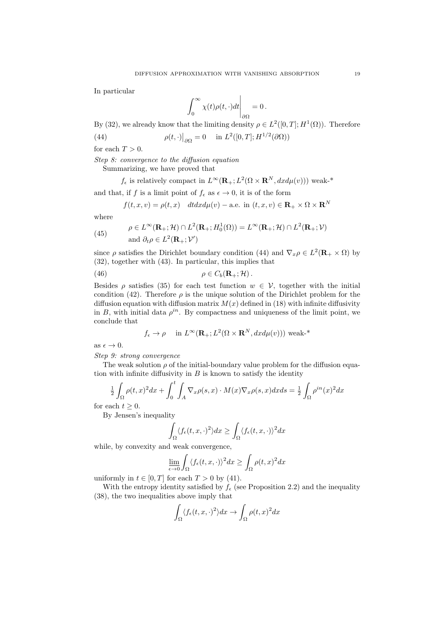In particular

$$
\left.\int_0^\infty \chi(t)\rho(t,\cdot)dt\right|_{\partial\Omega}=0\,.
$$

By (32), we already know that the limiting density  $\rho \in L^2([0,T]; H^1(\Omega))$ . Therefore

(44) 
$$
\rho(t, \cdot)|_{\partial \Omega} = 0 \quad \text{in } L^2([0, T]; H^{1/2}(\partial \Omega))
$$

for each  $T > 0$ .

*Step 8: convergence to the diffusion equation* 

Summarizing, we have proved that

 $f_{\epsilon}$  is relatively compact in  $L^{\infty}(\mathbf{R}_{+};L^{2}(\Omega\times\mathbf{R}^{N},dxd\mu(v)))$  weak-\*

and that, if *f* is a limit point of  $f_{\epsilon}$  as  $\epsilon \to 0$ , it is of the form

$$
f(t, x, v) = \rho(t, x) \quad dt dx d\mu(v) - \text{a.e. in } (t, x, v) \in \mathbf{R}_{+} \times \Omega \times \mathbf{R}^{N}
$$

where

(45) 
$$
\rho \in L^{\infty}(\mathbf{R}_{+}; \mathcal{H}) \cap L^{2}(\mathbf{R}_{+}; H_{0}^{1}(\Omega)) = L^{\infty}(\mathbf{R}_{+}; \mathcal{H}) \cap L^{2}(\mathbf{R}_{+}; \mathcal{V})
$$
  
and  $\partial_{t} \rho \in L^{2}(\mathbf{R}_{+}; \mathcal{V}')$ 

since  $\rho$  satisfies the Dirichlet boundary condition (44) and  $\nabla_x \rho \in L^2(\mathbf{R}_+ \times \Omega)$  by (32), together with (43). In particular, this implies that

(46) 
$$
\rho \in C_b(\mathbf{R}_+;\mathcal{H}).
$$

Besides  $\rho$  satisfies (35) for each test function  $w \in V$ , together with the initial condition (42). Therefore  $\rho$  is the unique solution of the Dirichlet problem for the diffusion equation with diffusion matrix  $M(x)$  defined in (18) with infinite diffusivity in *B*, with initial data  $\rho^{in}$ . By compactness and uniqueness of the limit point, we conclude that

$$
f_{\epsilon} \to \rho
$$
 in  $L^{\infty}(\mathbf{R}_{+}; L^{2}(\Omega \times \mathbf{R}^{N}, dxd\mu(v)))$  weak-\*

as  $\epsilon \to 0$ .

*Step 9: strong convergence*

The weak solution  $\rho$  of the initial-boundary value problem for the diffusion equation with infinite diffusivity in  $B$  is known to satisfy the identity

$$
\frac{1}{2} \int_{\Omega} \rho(t,x)^2 dx + \int_0^t \int_A \nabla_x \rho(s,x) \cdot M(x) \nabla_x \rho(s,x) dx ds = \frac{1}{2} \int_{\Omega} \rho^{in}(x)^2 dx
$$

for each  $t \geq 0$ .

By Jensen's inequality

$$
\int_{\Omega} \langle f_{\epsilon}(t, x, \cdot)^{2} \rangle dx \ge \int_{\Omega} \langle f_{\epsilon}(t, x, \cdot) \rangle^{2} dx
$$

while, by convexity and weak convergence,

$$
\lim_{\epsilon \to 0} \int_{\Omega} \langle f_{\epsilon}(t, x, \cdot) \rangle^{2} dx \ge \int_{\Omega} \rho(t, x)^{2} dx
$$

uniformly in  $t \in [0, T]$  for each  $T > 0$  by (41).

With the entropy identity satisfied by  $f_{\epsilon}$  (see Proposition 2.2) and the inequality (38), the two inequalities above imply that

$$
\int_{\Omega} \langle f_{\epsilon}(t,x,\cdot)^2 \rangle dx \to \int_{\Omega} \rho(t,x)^2 dx
$$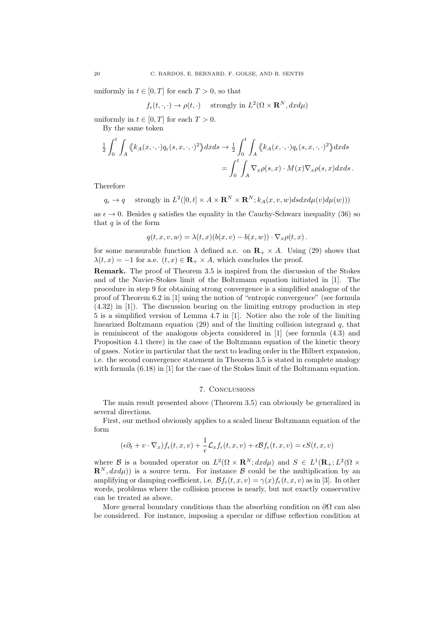uniformly in  $t \in [0, T]$  for each  $T > 0$ , so that

$$
f_{\epsilon}(t,\cdot,\cdot) \to \rho(t,\cdot)
$$
 strongly in  $L^2(\Omega \times \mathbf{R}^N, dx d\mu)$ 

uniformly in  $t \in [0, T]$  for each  $T > 0$ .

By the same token

$$
\frac{1}{2} \int_0^t \int_A \langle k_A(x, \cdot, \cdot) q_\epsilon(s, x, \cdot, \cdot) \rangle^2 \rangle dx ds \to \frac{1}{2} \int_0^t \int_A \langle k_A(x, \cdot, \cdot) q_\epsilon(s, x, \cdot, \cdot) \rangle^2 \rangle dx ds
$$

$$
= \int_0^t \int_A \nabla_x \rho(s, x) \cdot M(x) \nabla_x \rho(s, x) dx ds.
$$

Therefore

$$
q_{\epsilon} \to q
$$
 strongly in  $L^2([0, t] \times A \times \mathbf{R}^N \times \mathbf{R}^N; k_A(x, v, w) ds dx d\mu(v) d\mu(w)))$ 

as  $\epsilon \to 0$ . Besides q satisfies the equality in the Cauchy-Schwarz inequality (36) so that *q* is of the form

$$
q(t, x, v, w) = \lambda(t, x)(b(x, v) - b(x, w)) \cdot \nabla_x \rho(t, x).
$$

for some measurable function  $\lambda$  defined a.e. on  $\mathbf{R}_{+} \times A$ . Using (29) shows that  $\lambda(t, x) = -1$  for a.e.  $(t, x) \in \mathbb{R}_+ \times A$ , which concludes the proof.

Remark. The proof of Theorem 3.5 is inspired from the discussion of the Stokes and of the Navier-Stokes limit of the Boltzmann equation initiated in [1]. The procedure in step 9 for obtaining strong convergence is a simplified analogue of the proof of Theorem 6.2 in [1] using the notion of "entropic convergence" (see formula (4.32) in [1]). The discussion bearing on the limiting entropy production in step 5 is a simplified version of Lemma 4.7 in [1]. Notice also the role of the limiting linearized Boltzmann equation (29) and of the limiting collision integrand *q*, that is reminiscent of the analogous objects considered in [1] (see formula (4.3) and Proposition 4.1 there) in the case of the Boltzmann equation of the kinetic theory of gases. Notice in particular that the next to leading order in the Hilbert expansion, i.e. the second convergence statement in Theorem 3.5 is stated in complete analogy with formula  $(6.18)$  in [1] for the case of the Stokes limit of the Boltzmann equation.

#### 7. Conclusions

The main result presented above (Theorem 3.5) can obviously be generalized in several directions.

First, our method obviously applies to a scaled linear Boltzmann equation of the form

$$
(\epsilon \partial_t + v \cdot \nabla_x) f_{\epsilon}(t, x, v) + \frac{1}{\epsilon} \mathcal{L}_x f_{\epsilon}(t, x, v) + \epsilon \mathcal{B} f_{\epsilon}(t, x, v) = \epsilon S(t, x, v)
$$

where *B* is a bounded operator on  $L^2(\Omega \times \mathbf{R}^N; dx d\mu)$  and  $S \in L^1(\mathbf{R}_+; L^2(\Omega \times$  $\mathbf{R}^{N}, dxd\mu$ ) is a source term. For instance  $\beta$  could be the multiplication by an amplifying or damping coefficient, i.e.  $\mathcal{B}f_{\epsilon}(t, x, v) = \gamma(x)f_{\epsilon}(t, x, v)$  as in [3]. In other words, problems where the collision process is nearly, but not exactly conservative can be treated as above.

More general boundary conditions than the absorbing condition on  $\partial\Omega$  can also be considered. For instance, imposing a specular or diffuse reflection condition at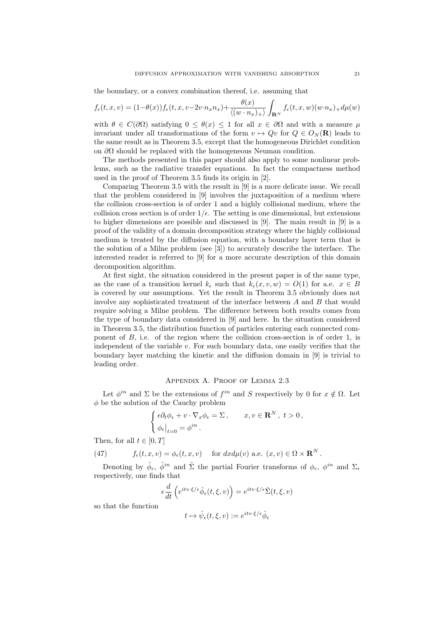the boundary, or a convex combination thereof, i.e. assuming that

$$
f_{\epsilon}(t,x,v) = (1-\theta(x))f_{\epsilon}(t,x,v-2v\cdot n_x n_x) + \frac{\theta(x)}{\langle (w\cdot n_x)_+ \rangle} \int_{\mathbf{R}^N} f_{\epsilon}(t,x,w)(w\cdot n_x)_+ d\mu(w)
$$

with  $\theta \in C(\partial\Omega)$  satisfying  $0 \leq \theta(x) \leq 1$  for all  $x \in \partial\Omega$  and with a measure  $\mu$ invariant under all transformations of the form  $v \mapsto Qv$  for  $Q \in O_N(\mathbf{R})$  leads to the same result as in Theorem 3.5, except that the homogeneous Dirichlet condition on  $\partial\Omega$  should be replaced with the homogeneous Neuman condition.

The methods presented in this paper should also apply to some nonlinear problems, such as the radiative transfer equations. In fact the compactness method used in the proof of Theorem 3.5 finds its origin in [2].

Comparing Theorem 3.5 with the result in [9] is a more delicate issue. We recall that the problem considered in [9] involves the juxtaposition of a medium where the collision cross-section is of order 1 and a highly collisional medium, where the collision cross section is of order  $1/\epsilon$ . The setting is one dimensional, but extensions to higher dimensions are possible and discussed in [9]. The main result in [9] is a proof of the validity of a domain decomposition strategy where the highly collisional medium is treated by the diffusion equation, with a boundary layer term that is the solution of a Milne problem (see [3]) to accurately describe the interface. The interested reader is referred to [9] for a more accurate description of this domain decomposition algorithm.

At first sight, the situation considered in the present paper is of the same type, as the case of a transition kernel  $k_{\epsilon}$  such that  $k_{\epsilon}(x, v, w) = O(1)$  for a.e.  $x \in B$ is covered by our assumptions. Yet the result in Theorem 3.5 obviously does not involve any sophisticated treatment of the interface between *A* and *B* that would require solving a Milne problem. The difference between both results comes from the type of boundary data considered in [9] and here. In the situation considered in Theorem 3.5, the distribution function of particles entering each connected component of  $B$ , i.e. of the region where the collision cross-section is of order 1, is independent of the variable *v*. For such boundary data, one easily verifies that the boundary layer matching the kinetic and the diffusion domain in  $[9]$  is trivial to leading order.

#### Appendix A. Proof of Lemma 2.3

Let  $\phi^{in}$  and  $\Sigma$  be the extensions of  $f^{in}$  and  $S$  respectively by 0 for  $x \notin \Omega$ . Let  $\phi$  be the solution of the Cauchy problem

$$
\begin{cases} \epsilon \partial_t \phi_{\epsilon} + v \cdot \nabla_x \phi_{\epsilon} = \Sigma \,, & x, v \in \mathbf{R}^N \,, \ t > 0 \,, \\ \phi_{\epsilon} \big|_{t=0} = \phi^{in} \,. \end{cases}
$$

Then, for all  $t \in [0, T]$ 

(47) 
$$
f_{\epsilon}(t,x,v) = \phi_{\epsilon}(t,x,v) \quad \text{for } dx d\mu(v) \text{ a.e. } (x,v) \in \Omega \times \mathbf{R}^{N}.
$$

Denoting by  $\hat{\phi}_{\epsilon}$ ,  $\hat{\phi}^{in}$  and  $\hat{\Sigma}$  the partial Fourier transforms of  $\phi_{\epsilon}$ ,  $\phi^{in}$  and  $\Sigma_{\epsilon}$ respectively, one finds that

$$
\epsilon \frac{d}{dt} \left( e^{itv \cdot \xi/\epsilon} \hat{\phi}_{\epsilon}(t,\xi,v) \right) = e^{itv \cdot \xi/\epsilon} \hat{\Sigma}(t,\xi,v)
$$

so that the function

$$
t\mapsto \hat{\psi}_{\epsilon}(t,\xi,v):=e^{itv\cdot\xi/\epsilon}\hat{\phi}_{\epsilon}
$$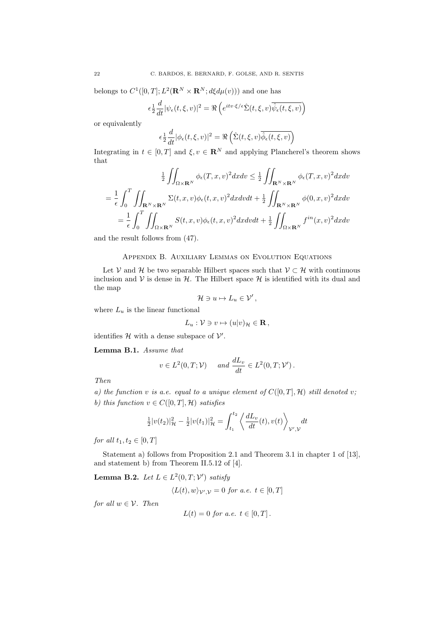belongs to  $C^1([0,T]; L^2(\mathbf{R}^N \times \mathbf{R}^N; d\xi d\mu(v)))$  and one has

$$
\epsilon \frac{1}{2} \frac{d}{dt} |\psi_{\epsilon}(t,\xi,v)|^2 = \Re \left( e^{itv \cdot \xi/\epsilon} \hat{\Sigma}(t,\xi,v) \overline{\hat{\psi}_{\epsilon}(t,\xi,v)} \right)
$$

or equivalently

$$
\epsilon \frac{1}{2} \frac{d}{dt} |\phi_{\epsilon}(t,\xi,v)|^2 = \Re \left( \hat{\Sigma}(t,\xi,v) \overline{\hat{\phi}_{\epsilon}(t,\xi,v)} \right)
$$

Integrating in  $t \in [0, T]$  and  $\xi, v \in \mathbb{R}^N$  and applying Plancherel's theorem shows that

$$
\frac{1}{2} \iint_{\Omega \times \mathbf{R}^N} \phi_{\epsilon}(T, x, v)^2 dx dv \leq \frac{1}{2} \iint_{\mathbf{R}^N \times \mathbf{R}^N} \phi_{\epsilon}(T, x, v)^2 dx dv
$$

$$
= \frac{1}{\epsilon} \int_0^T \iint_{\mathbf{R}^N \times \mathbf{R}^N} \Sigma(t, x, v) \phi_{\epsilon}(t, x, v)^2 dx dv dt + \frac{1}{2} \iint_{\mathbf{R}^N \times \mathbf{R}^N} \phi(0, x, v)^2 dx dv
$$

$$
= \frac{1}{\epsilon} \int_0^T \iint_{\Omega \times \mathbf{R}^N} S(t, x, v) \phi_{\epsilon}(t, x, v)^2 dx dv dt + \frac{1}{2} \iint_{\Omega \times \mathbf{R}^N} f^{in}(x, v)^2 dx dv
$$

and the result follows from (47).

## Appendix B. Auxiliary Lemmas on Evolution Equations

Let *V* and *H* be two separable Hilbert spaces such that  $V \subset H$  with continuous inclusion and  $V$  is dense in  $H$ . The Hilbert space  $H$  is identified with its dual and the map

$$
\mathcal{H}\ni u\mapsto L_u\in\mathcal{V}',
$$

where  $L_u$  is the linear functional

$$
L_u: \mathcal{V} \ni v \mapsto (u|v)_{\mathcal{H}} \in \mathbf{R},
$$

identifies  $H$  with a dense subspace of  $V'$ .

Lemma B.1. *Assume that*

$$
v \in L^2(0,T;\mathcal{V})
$$
 and  $\frac{dL_v}{dt} \in L^2(0,T;\mathcal{V}')$ .

*Then*

*a)* the function *v* is a.e. equal to a unique element of  $C([0, T], \mathcal{H})$  still denoted *v*; *b)* this function  $v \in C([0, T], \mathcal{H})$  satisfies

$$
\frac{1}{2}|v(t_2)|_{\mathcal{H}}^2 - \frac{1}{2}|v(t_1)|_{\mathcal{H}}^2 = \int_{t_1}^{t_2} \left\langle \frac{dL_v}{dt}(t), v(t) \right\rangle_{\mathcal{V}',\mathcal{V}} dt
$$

*for all*  $t_1, t_2 \in [0, T]$ 

Statement a) follows from Proposition 2.1 and Theorem 3.1 in chapter 1 of [13], and statement b) from Theorem II.5.12 of [4].

**Lemma B.2.** *Let*  $L \in L^2(0,T; \mathcal{V}')$  *satisfy* 

$$
\langle L(t), w \rangle_{V',V} = 0 \text{ for a.e. } t \in [0, T]
$$

*for all*  $w \in V$ *. Then* 

$$
L(t) = 0
$$
 for a.e.  $t \in [0, T]$ .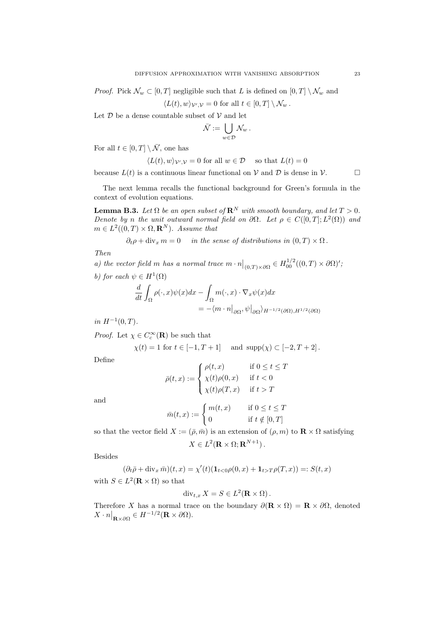*Proof.* Pick  $\mathcal{N}_w \subset [0, T]$  negligible such that *L* is defined on  $[0, T] \setminus \mathcal{N}_w$  and

$$
\langle L(t), w \rangle_{\mathcal{V}', \mathcal{V}} = 0 \text{ for all } t \in [0, T] \setminus \mathcal{N}_w.
$$

Let  $D$  be a dense countable subset of  $V$  and let

$$
\bar{\mathcal{N}} := \bigcup_{w \in \mathcal{D}} \mathcal{N}_w \, .
$$

For all  $t \in [0, T] \setminus \overline{N}$ , one has

$$
\langle L(t), w \rangle_{\mathcal{V}', \mathcal{V}} = 0 \text{ for all } w \in \mathcal{D} \quad \text{ so that } L(t) = 0
$$

because  $L(t)$  is a continuous linear functional on  $V$  and  $D$  is dense in  $V$ .

The next lemma recalls the functional background for Green's formula in the context of evolution equations.

**Lemma B.3.** Let  $\Omega$  be an open subset of  $\mathbb{R}^N$  with smooth boundary, and let  $T > 0$ . *Denote by n the unit outward normal field on*  $\partial\Omega$ *. Let*  $\rho \in C([0, T]; L^2(\Omega))$  and  $m \in L^2((0,T) \times \Omega, \mathbb{R}^N)$ *. Assume that* 

$$
\partial_t \rho + \text{div}_x m = 0
$$
 in the sense of distributions in  $(0, T) \times \Omega$ .

*Then*

*a)* the vector field *m* has a normal trace  $m \cdot n|_{(0,T)\times\partial\Omega} \in H_{00}^{1/2}((0,T)\times\partial\Omega)'$ ;

*b)* for each  $\psi \in H^1(\Omega)$ 

$$
\frac{d}{dt} \int_{\Omega} \rho(\cdot, x) \psi(x) dx - \int_{\Omega} m(\cdot, x) \cdot \nabla_x \psi(x) dx \n= -\langle m \cdot n \big|_{\partial \Omega}, \psi \big|_{\partial \Omega} \rangle_{H^{-1/2}(\partial \Omega), H^{1/2}(\partial \Omega)}
$$

 $in H^{-1}(0,T)$ .

*Proof.* Let  $\chi \in C_c^{\infty}(\mathbf{R})$  be such that

$$
\chi(t) = 1
$$
 for  $t \in [-1, T + 1]$  and  $\text{supp}(\chi) \subset [-2, T + 2]$ .

Define

$$
\bar{\rho}(t,x) := \begin{cases} \rho(t,x) & \text{if } 0 \leq t \leq T \\ \chi(t)\rho(0,x) & \text{if } t < 0 \\ \chi(t)\rho(T,x) & \text{if } t > T \end{cases}
$$

and

$$
\bar{m}(t,x) := \begin{cases} m(t,x) & \text{if } 0 \le t \le T \\ 0 & \text{if } t \notin [0,T] \end{cases}
$$

so that the vector field  $X := (\bar{\rho}, \bar{m})$  is an extension of  $(\rho, m)$  to  $\mathbb{R} \times \Omega$  satisfying  $X \in L^2(\mathbf{R} \times \Omega; \mathbf{R}^{N+1})$ .

Besides

$$
(\partial_t \overline{\rho} + \text{div}_x \overline{m})(t, x) = \chi'(t)(\mathbf{1}_{t<0}\rho(0, x) + \mathbf{1}_{t>T}\rho(T, x)) =: S(t, x)
$$

with  $S \in L^2(\mathbf{R} \times \Omega)$  so that

$$
\operatorname{div}_{t,x} X = S \in L^2(\mathbf{R} \times \Omega).
$$

Therefore X has a normal trace on the boundary  $\partial(\mathbf{R} \times \Omega) = \mathbf{R} \times \partial \Omega$ , denoted  $X \cdot n|_{\mathbf{R} \times \partial \Omega} \in H^{-1/2}(\mathbf{R} \times \partial \Omega).$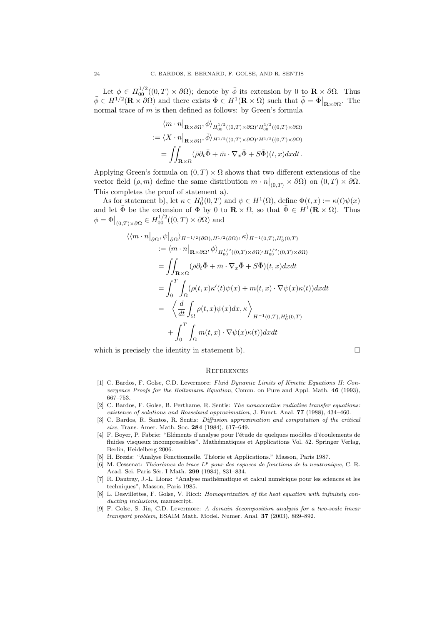Let  $\phi \in H_{00}^{1/2}((0,T) \times \partial \Omega)$ ; denote by  $\overline{\phi}$  its extension by 0 to  $\mathbb{R} \times \partial \Omega$ . Thus  $\bar{\phi} \in H^{1/2}(\mathbf{R} \times \partial \Omega)$  and there exists  $\bar{\Phi} \in H^1(\mathbf{R} \times \Omega)$  such that  $\bar{\phi} = \bar{\Phi}|_{\mathbf{R} \times \partial \Omega}$ . The normal trace of *m* is then defined as follows: by Green's formula

 $\mathbf{r}$ 

$$
\langle m \cdot n |_{\mathbf{R} \times \partial \Omega}, \phi \rangle_{H_{00}^{1/2}((0,T) \times \partial \Omega)' H_{00}^{1/2}((0,T) \times \partial \Omega)}
$$
  

$$
:= \langle X \cdot n |_{\mathbf{R} \times \partial \Omega}, \overline{\phi} \rangle_{H^{1/2}((0,T) \times \partial \Omega)' H^{1/2}((0,T) \times \partial \Omega)}
$$
  

$$
= \iint_{\mathbf{R} \times \Omega} (\overline{\rho} \partial_t \overline{\Phi} + \overline{m} \cdot \nabla_x \overline{\Phi} + S \overline{\Phi})(t, x) dx dt.
$$

Applying Green's formula on  $(0, T) \times \Omega$  shows that two different extensions of the vector field  $(\rho, m)$  define the same distribution  $m \cdot n|_{(0,T)} \times \partial\Omega$  on  $(0,T) \times \partial\Omega$ . This completes the proof of statement a).

As for statement b), let  $\kappa \in H_0^1(0,T)$  and  $\psi \in H^1(\Omega)$ , define  $\Phi(t,x) := \kappa(t)\psi(x)$ and let  $\bar{\Phi}$  be the extension of  $\Phi$  by 0 to  $\mathbf{R} \times \Omega$ , so that  $\bar{\Phi} \in H^1(\mathbf{R} \times \Omega)$ . Thus  $\phi = \Phi|_{(0,T)\times\partial\Omega} \in H_{00}^{1/2}((0,T)\times\partial\Omega)$  and

$$
\langle \langle m \cdot n |_{\partial \Omega}, \psi |_{\partial \Omega} \rangle_{H^{-1/2}(\partial \Omega), H^{1/2}(\partial \Omega)}, \kappa \rangle_{H^{-1}(0,T), H_0^1(0,T)}
$$
  
\n
$$
:= \langle m \cdot n |_{\mathbf{R} \times \partial \Omega}, \phi \rangle_{H_{00}^{1/2}((0,T) \times \partial \Omega)' H_{00}^{1/2}((0,T) \times \partial \Omega)}
$$
  
\n
$$
= \iint_{\mathbf{R} \times \Omega} (\bar{\rho} \partial_t \bar{\Phi} + \bar{m} \cdot \nabla_x \bar{\Phi} + S \bar{\Phi})(t, x) dx dt
$$
  
\n
$$
= \int_0^T \int_{\Omega} (\rho(t, x) \kappa'(t) \psi(x) + m(t, x) \cdot \nabla \psi(x) \kappa(t)) dx dt
$$
  
\n
$$
= -\left\langle \frac{d}{dt} \int_{\Omega} \rho(t, x) \psi(x) dx, \kappa \right\rangle_{H^{-1}(0,T), H_0^1(0,T)}
$$
  
\n
$$
+ \int_0^T \int_{\Omega} m(t, x) \cdot \nabla \psi(x) \kappa(t) dx dt
$$

which is precisely the identity in statement b).  $\Box$ 

#### **REFERENCES**

- [1] C. Bardos, F. Golse, C.D. Levermore: *Fluid Dynamic Limits of Kinetic Equations II: Convergence Proofs for the Boltzmann Equation*, Comm. on Pure and Appl. Math. 46 (1993), 667–753.
- [2] C. Bardos, F. Golse, B. Perthame, R. Sentis: *The nonaccretive radiative transfer equations: existence of solutions and Rosseland approximation*, J. Funct. Anal. 77 (1988), 434–460.
- [3] C. Bardos, R. Santos, R. Sentis: *Diffusion approximation and computation of the critical size*, Trans. Amer. Math. Soc. 284 (1984), 617–649.
- [4] F. Boyer, P. Fabrie: "Eléments d'analyse pour l'étude de quelques modèles d'écoulements de fluides visqueux incompressibles". Mathématiques et Applications Vol. 52. Springer Verlag, Berlin, Heidelberg 2006.
- [5] H. Brezis: "Analyse Fonctionnelle. Théorie et Applications." Masson, Paris 1987.
- [6] M. Cessenat: *Th´eor`emes de trace L<sup>p</sup> pour des espaces de fonctions de la neutronique*, C. R. Acad. Sci. Paris Sér. I Math. 299 (1984), 831-834.
- [7] R. Dautray, J.-L. Lions: "Analyse mathématique et calcul numérique pour les sciences et les techniques", Masson, Paris 1985.
- [8] L. Desvillettes, F. Golse, V. Ricci: *Homogenization of the heat equation with infinitely conducting inclusions*, manuscript.
- [9] F. Golse, S. Jin, C.D. Levermore: *A domain decomposition analysis for a two-scale linear transport problem*, ESAIM Math. Model. Numer. Anal. 37 (2003), 869–892.